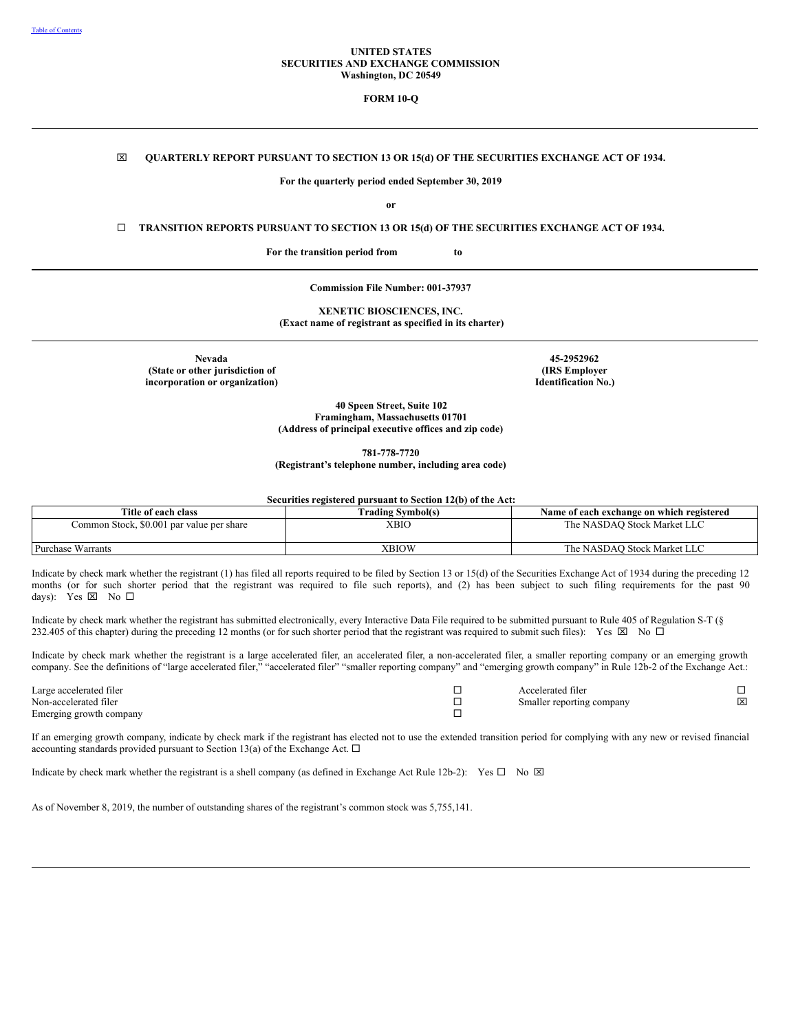### **UNITED STATES SECURITIES AND EXCHANGE COMMISSION Washington, DC 20549**

**FORM 10-Q**

## x **QUARTERLY REPORT PURSUANT TO SECTION 13 OR 15(d) OF THE SECURITIES EXCHANGE ACT OF 1934.**

**For the quarterly period ended September 30, 2019**

**or**

¨ **TRANSITION REPORTS PURSUANT TO SECTION 13 OR 15(d) OF THE SECURITIES EXCHANGE ACT OF 1934.**

**For the transition period from to**

**Commission File Number: 001-37937**

**XENETIC BIOSCIENCES, INC. (Exact name of registrant as specified in its charter)**

**Nevada (State or other jurisdiction of incorporation or organization)**

**45-2952962 (IRS Employer Identification No.)**

**40 Speen Street, Suite 102 Framingham, Massachusetts 01701 (Address of principal executive offices and zip code)**

**781-778-7720**

**(Registrant's telephone number, including area code)**

**Securities registered pursuant to Section 12(b) of the Act:**

| Title of each class                       | Frading Svmbol(s) | Name of each exchange on which registered |
|-------------------------------------------|-------------------|-------------------------------------------|
| Common Stock, \$0.001 par value per share | XBIO              | The NASDAO Stock Market LLC               |
| Purchase Warrants                         | XBIOW             | The NASDAO Stock Market LLC               |

Indicate by check mark whether the registrant (1) has filed all reports required to be filed by Section 13 or 15(d) of the Securities Exchange Act of 1934 during the preceding 12 months (or for such shorter period that the registrant was required to file such reports), and (2) has been subject to such filing requirements for the past 90 days): Yes  $\boxtimes$  No  $\square$ 

Indicate by check mark whether the registrant has submitted electronically, every Interactive Data File required to be submitted pursuant to Rule 405 of Regulation S-T (§ 232.405 of this chapter) during the preceding 12 months (or for such shorter period that the registrant was required to submit such files): Yes  $\boxtimes$  No  $\Box$ 

Indicate by check mark whether the registrant is a large accelerated filer, an accelerated filer, a non-accelerated filer, a smaller reporting company or an emerging growth company. See the definitions of "large accelerated filer," "accelerated filer" "smaller reporting company" and "emerging growth company" in Rule 12b-2 of the Exchange Act.:

| Large accelerated filer | Accelerated filer         |   |
|-------------------------|---------------------------|---|
| Non-accelerated filer   | Smaller reporting company | ⊠ |
| Emerging growth company |                           |   |

If an emerging growth company, indicate by check mark if the registrant has elected not to use the extended transition period for complying with any new or revised financial accounting standards provided pursuant to Section 13(a) of the Exchange Act.  $\Box$ 

Indicate by check mark whether the registrant is a shell company (as defined in Exchange Act Rule 12b-2): Yes  $\square$  No  $\square$ 

As of November 8, 2019, the number of outstanding shares of the registrant's common stock was 5,755,141.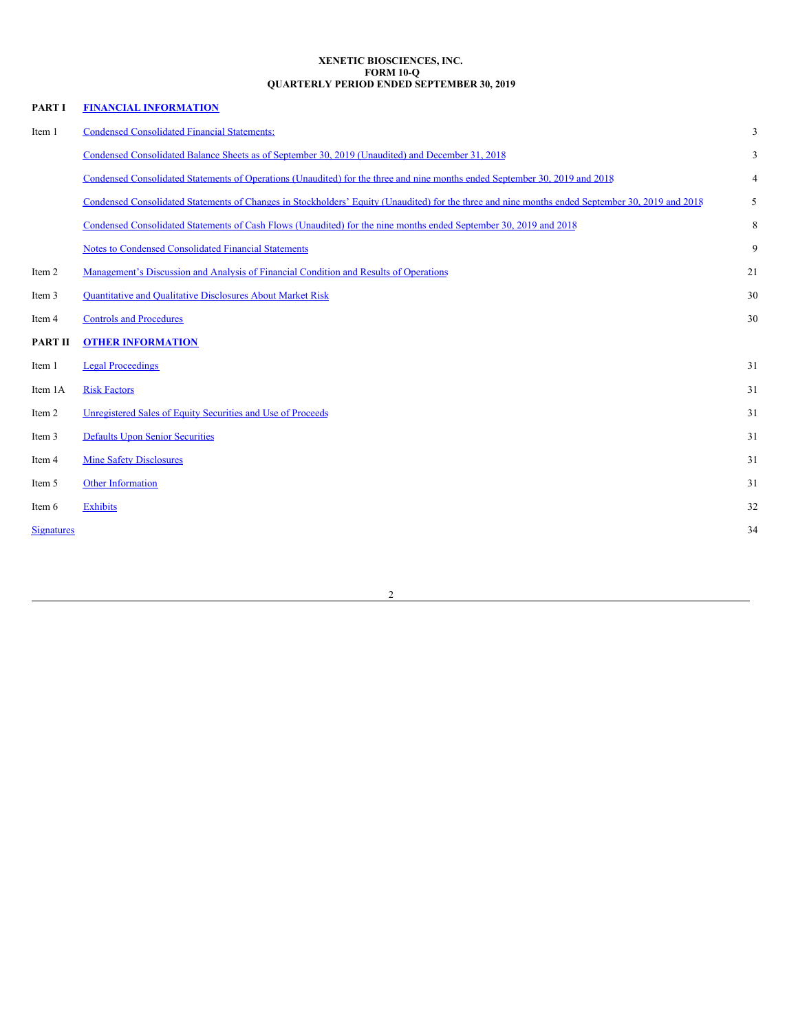### <span id="page-1-0"></span>**XENETIC BIOSCIENCES, INC. FORM 10-Q QUARTERLY PERIOD ENDED SEPTEMBER 30, 2019**

| PART I            | <b>FINANCIAL INFORMATION</b>                                                                                                                     |                |
|-------------------|--------------------------------------------------------------------------------------------------------------------------------------------------|----------------|
| Item 1            | <b>Condensed Consolidated Financial Statements:</b>                                                                                              | 3              |
|                   | Condensed Consolidated Balance Sheets as of September 30, 2019 (Unaudited) and December 31, 2018                                                 | 3              |
|                   | Condensed Consolidated Statements of Operations (Unaudited) for the three and nine months ended September 30, 2019 and 2018                      | $\overline{4}$ |
|                   | Condensed Consolidated Statements of Changes in Stockholders' Equity (Unaudited) for the three and nine months ended September 30, 2019 and 2018 | 5              |
|                   | Condensed Consolidated Statements of Cash Flows (Unaudited) for the nine months ended September 30, 2019 and 2018                                | 8              |
|                   | <b>Notes to Condensed Consolidated Financial Statements</b>                                                                                      | 9              |
| Item 2            | Management's Discussion and Analysis of Financial Condition and Results of Operations                                                            | 21             |
| Item 3            | Quantitative and Qualitative Disclosures About Market Risk                                                                                       | 30             |
| Item 4            | <b>Controls and Procedures</b>                                                                                                                   | 30             |
| <b>PART II</b>    | <b>OTHER INFORMATION</b>                                                                                                                         |                |
| Item 1            | <b>Legal Proceedings</b>                                                                                                                         | 31             |
| Item 1A           | <b>Risk Factors</b>                                                                                                                              | 31             |
| Item 2            | Unregistered Sales of Equity Securities and Use of Proceeds                                                                                      | 31             |
| Item 3            | <b>Defaults Upon Senior Securities</b>                                                                                                           | 31             |
| Item 4            | <b>Mine Safety Disclosures</b>                                                                                                                   | 31             |
| Item 5            | Other Information                                                                                                                                | 31             |
| Item 6            | <b>Exhibits</b>                                                                                                                                  | 32             |
| <b>Signatures</b> |                                                                                                                                                  | 34             |
|                   |                                                                                                                                                  |                |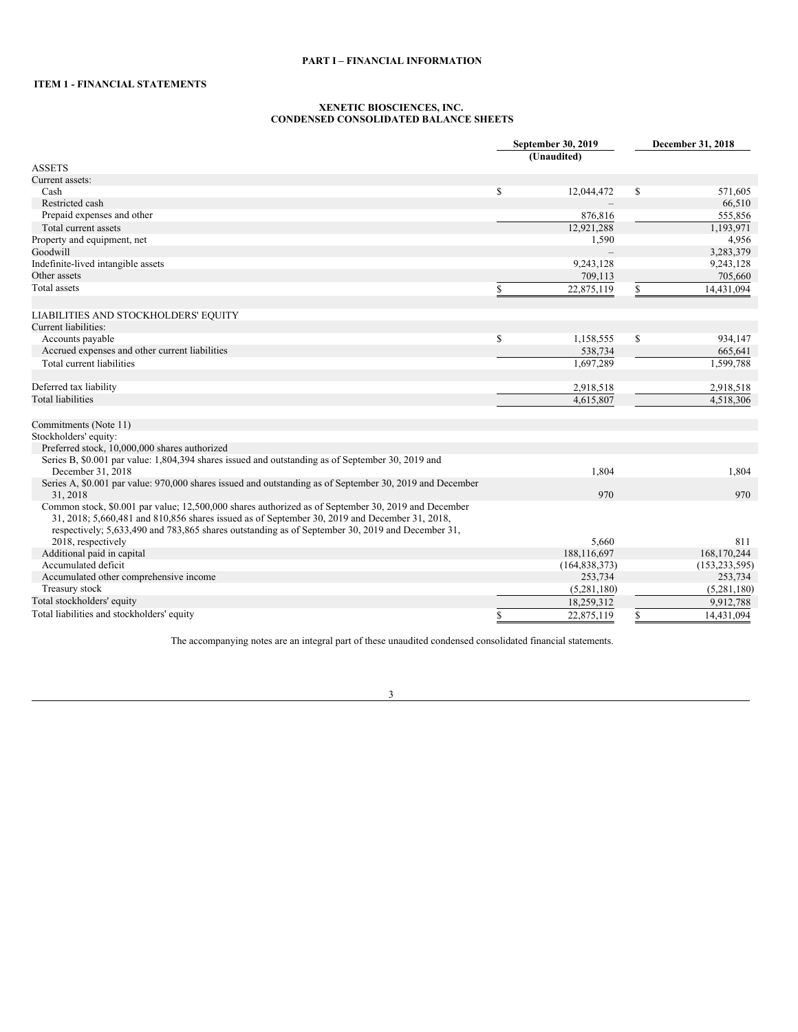# <span id="page-2-1"></span>**ITEM 1 - FINANCIAL STATEMENTS**

### <span id="page-2-0"></span>**XENETIC BIOSCIENCES, INC. CONDENSED CONSOLIDATED BALANCE SHEETS**

|                                                                                                                      | September 30, 2019<br>(Unaudited) |               | December 31, 2018 |
|----------------------------------------------------------------------------------------------------------------------|-----------------------------------|---------------|-------------------|
| <b>ASSETS</b>                                                                                                        |                                   |               |                   |
| Current assets:                                                                                                      |                                   |               |                   |
| Cash                                                                                                                 | \$<br>12,044,472                  | <sup>\$</sup> | 571,605           |
| Restricted cash                                                                                                      |                                   |               | 66,510            |
| Prepaid expenses and other                                                                                           | 876,816                           |               | 555,856           |
| Total current assets                                                                                                 | 12,921,288                        |               | 1,193,971         |
| Property and equipment, net                                                                                          | 1,590                             |               | 4,956             |
| Goodwill                                                                                                             |                                   |               | 3,283,379         |
| Indefinite-lived intangible assets                                                                                   | 9,243,128                         |               | 9,243,128         |
| Other assets                                                                                                         | 709,113                           |               | 705,660           |
| Total assets                                                                                                         | \$<br>22,875,119                  | \$            | 14,431,094        |
| LIABILITIES AND STOCKHOLDERS' EQUITY                                                                                 |                                   |               |                   |
| Current liabilities:                                                                                                 |                                   |               |                   |
| Accounts payable                                                                                                     | \$<br>1,158,555                   | \$            | 934,147           |
| Accrued expenses and other current liabilities                                                                       | 538,734                           |               | 665,641           |
| Total current liabilities                                                                                            | 1,697,289                         |               | 1,599,788         |
|                                                                                                                      |                                   |               |                   |
| Deferred tax liability                                                                                               | 2,918,518                         |               | 2,918,518         |
| <b>Total liabilities</b>                                                                                             | 4,615,807                         |               | 4.518.306         |
|                                                                                                                      |                                   |               |                   |
| Commitments (Note 11)                                                                                                |                                   |               |                   |
| Stockholders' equity:                                                                                                |                                   |               |                   |
| Preferred stock, 10,000,000 shares authorized                                                                        |                                   |               |                   |
| Series B, \$0.001 par value: 1,804,394 shares issued and outstanding as of September 30, 2019 and                    |                                   |               |                   |
| December 31, 2018                                                                                                    | 1,804                             |               | 1,804             |
| Series A, \$0.001 par value: 970,000 shares issued and outstanding as of September 30, 2019 and December<br>31, 2018 | 970                               |               | 970               |
| Common stock, \$0.001 par value; 12,500,000 shares authorized as of September 30, 2019 and December                  |                                   |               |                   |
| 31, 2018; 5,660,481 and 810,856 shares issued as of September 30, 2019 and December 31, 2018,                        |                                   |               |                   |
| respectively; 5,633,490 and 783,865 shares outstanding as of September 30, 2019 and December 31,                     |                                   |               |                   |
| 2018, respectively                                                                                                   | 5,660                             |               | 811               |
| Additional paid in capital                                                                                           | 188,116,697                       |               | 168,170,244       |
| Accumulated deficit                                                                                                  | (164, 838, 373)                   |               | (153, 233, 595)   |
| Accumulated other comprehensive income                                                                               | 253,734                           |               | 253,734           |
| Treasury stock                                                                                                       | (5,281,180)                       |               | (5,281,180)       |
| Total stockholders' equity                                                                                           | 18,259,312                        |               | 9,912,788         |
| Total liabilities and stockholders' equity                                                                           | \$<br>22,875,119                  | S.            | 14.431.094        |

The accompanying notes are an integral part of these unaudited condensed consolidated financial statements.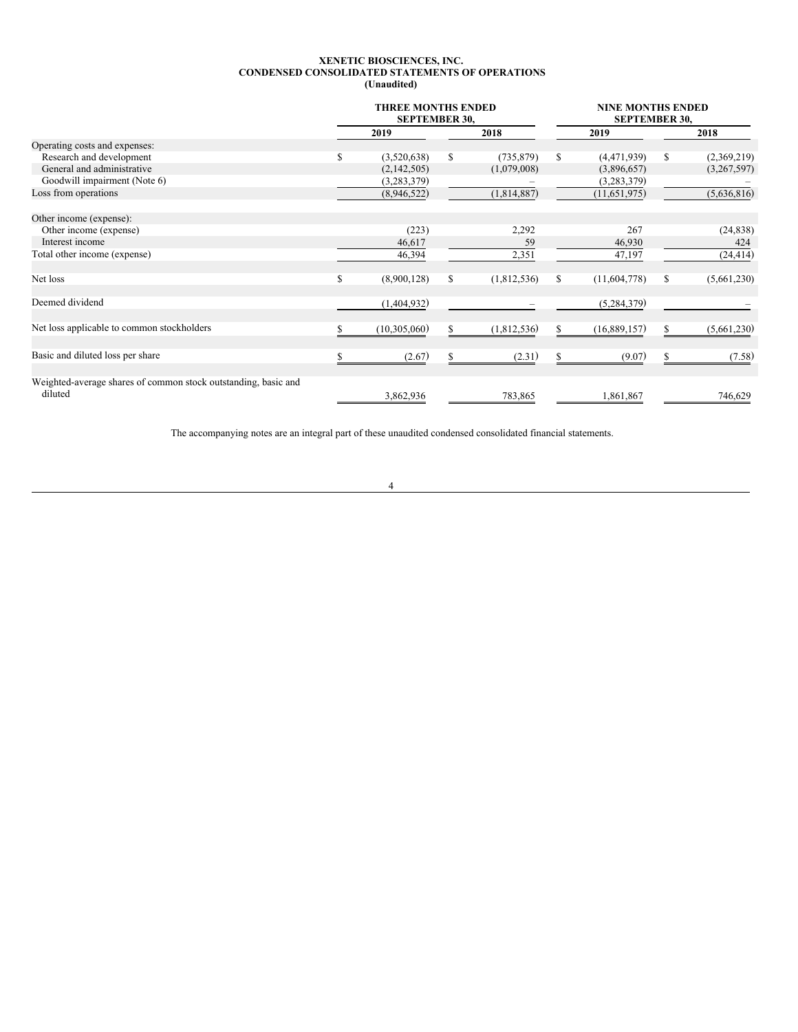### <span id="page-3-0"></span>**XENETIC BIOSCIENCES, INC. CONDENSED CONSOLIDATED STATEMENTS OF OPERATIONS (Unaudited)**

|                                                                           | <b>THREE MONTHS ENDED</b><br><b>SEPTEMBER 30,</b> |              |    |             | <b>NINE MONTHS ENDED</b><br><b>SEPTEMBER 30,</b> |    |             |  |  |
|---------------------------------------------------------------------------|---------------------------------------------------|--------------|----|-------------|--------------------------------------------------|----|-------------|--|--|
|                                                                           |                                                   | 2019         |    | 2018        | 2019                                             |    | 2018        |  |  |
| Operating costs and expenses:                                             |                                                   |              |    |             |                                                  |    |             |  |  |
| Research and development                                                  | \$                                                | (3,520,638)  | S  | (735, 879)  | \$<br>(4,471,939)                                | S  | (2,369,219) |  |  |
| General and administrative                                                |                                                   | (2,142,505)  |    | (1,079,008) | (3,896,657)                                      |    | (3,267,597) |  |  |
| Goodwill impairment (Note 6)                                              |                                                   | (3,283,379)  |    |             | (3,283,379)                                      |    |             |  |  |
| Loss from operations                                                      |                                                   | (8,946,522)  |    | (1,814,887) | (11, 651, 975)                                   |    | (5,636,816) |  |  |
| Other income (expense):                                                   |                                                   |              |    |             |                                                  |    |             |  |  |
| Other income (expense)                                                    |                                                   | (223)        |    | 2,292       | 267                                              |    | (24, 838)   |  |  |
| Interest income                                                           |                                                   | 46,617       |    | 59          | 46,930                                           |    | 424         |  |  |
| Total other income (expense)                                              |                                                   | 46,394       |    | 2,351       | 47,197                                           |    | (24, 414)   |  |  |
| Net loss                                                                  | \$                                                | (8,900,128)  | \$ | (1,812,536) | \$<br>(11,604,778)                               | \$ | (5,661,230) |  |  |
| Deemed dividend                                                           |                                                   | (1,404,932)  |    |             | (5,284,379)                                      |    |             |  |  |
| Net loss applicable to common stockholders                                |                                                   | (10,305,060) | \$ | (1,812,536) | \$<br>(16,889,157)                               |    | (5,661,230) |  |  |
| Basic and diluted loss per share                                          |                                                   | (2.67)       |    | (2.31)      | \$<br>(9.07)                                     |    | (7.58)      |  |  |
| Weighted-average shares of common stock outstanding, basic and<br>diluted |                                                   | 3,862,936    |    | 783,865     | 1,861,867                                        |    | 746,629     |  |  |

The accompanying notes are an integral part of these unaudited condensed consolidated financial statements.

4

<u> 1980 - Johann Barbara, martxa amerikan per</u>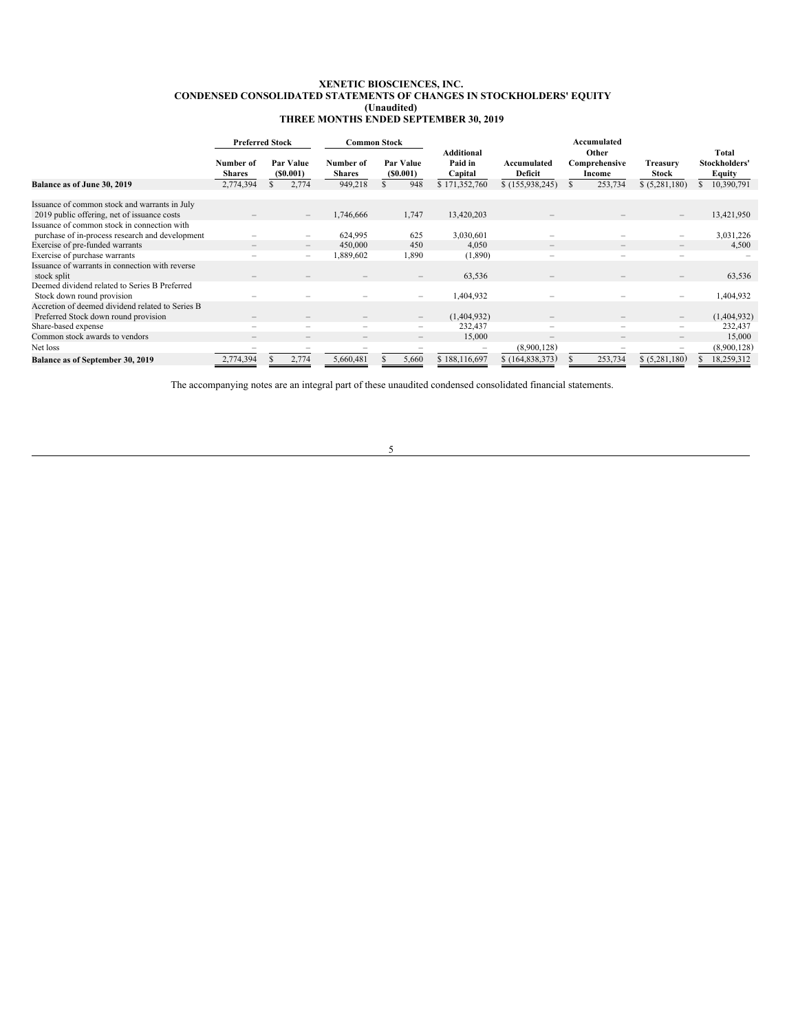### <span id="page-4-0"></span>**XENETIC BIOSCIENCES, INC. CONDENSED CONSOLIDATED STATEMENTS OF CHANGES IN STOCKHOLDERS' EQUITY (Unaudited) THREE MONTHS ENDED SEPTEMBER 30, 2019**

|                                                                                              | <b>Preferred Stock</b>     |  |                                                             | <b>Common Stock</b>        |                          |                                         |                               | Accumulated                      |                          |                                  |
|----------------------------------------------------------------------------------------------|----------------------------|--|-------------------------------------------------------------|----------------------------|--------------------------|-----------------------------------------|-------------------------------|----------------------------------|--------------------------|----------------------------------|
|                                                                                              | Number of<br><b>Shares</b> |  | Par Value<br>(S0.001)                                       | Number of<br><b>Shares</b> | Par Value<br>(S0.001)    | <b>Additional</b><br>Paid in<br>Capital | Accumulated<br><b>Deficit</b> | Other<br>Comprehensive<br>Income | Treasury<br><b>Stock</b> | Total<br>Stockholders'<br>Equity |
| Balance as of June 30, 2019                                                                  | 2,774,394                  |  | 2,774                                                       | 949,218                    | 948                      | \$171,352,760                           | \$(155,938,245)               | 253,734                          | \$ (5,281,180)           | 10,390,791                       |
| Issuance of common stock and warrants in July<br>2019 public offering, net of issuance costs |                            |  | $\hspace{1.0cm} - \hspace{1.0cm}$                           | 1,746,666                  | 1,747                    | 13,420,203                              |                               |                                  |                          | 13,421,950                       |
| Issuance of common stock in connection with                                                  |                            |  |                                                             |                            |                          |                                         |                               |                                  |                          |                                  |
| purchase of in-process research and development                                              |                            |  | $\overline{\phantom{a}}$                                    | 624,995<br>450,000         | 625<br>450               | 3,030,601<br>4.050                      |                               |                                  | -                        | 3,031,226<br>4,500               |
| Exercise of pre-funded warrants<br>Exercise of purchase warrants                             |                            |  | $\hspace{0.1mm}-\hspace{0.1mm}$<br>$\overline{\phantom{m}}$ | 1,889,602                  | 1,890                    | (1,890)                                 |                               | $\qquad \qquad -$                |                          |                                  |
| Issuance of warrants in connection with reverse<br>stock split                               |                            |  |                                                             |                            | -                        | 63,536                                  |                               |                                  |                          | 63,536                           |
| Deemed dividend related to Series B Preferred<br>Stock down round provision                  |                            |  |                                                             |                            | $\overline{\phantom{0}}$ | 1,404,932                               |                               |                                  |                          | 1,404,932                        |
| Accretion of deemed dividend related to Series B<br>Preferred Stock down round provision     |                            |  |                                                             |                            | $\qquad \qquad -$        | (1,404,932)                             |                               |                                  |                          | (1,404,932)                      |
| Share-based expense                                                                          |                            |  | -                                                           | $\overline{\phantom{a}}$   | -                        | 232,437                                 | $\overline{\phantom{0}}$      | $\qquad \qquad -$                | $\overline{\phantom{0}}$ | 232,437                          |
| Common stock awards to vendors                                                               | $\overline{\phantom{0}}$   |  | $\hspace{0.1mm}-\hspace{0.1mm}$                             | $\overline{\phantom{0}}$   | -                        | 15,000                                  | $\qquad \qquad -$             | $\qquad \qquad -$                | $\qquad \qquad -$        | 15,000                           |
| Net loss                                                                                     |                            |  |                                                             |                            |                          |                                         | (8,900,128)                   |                                  |                          | (8,900,128)                      |
| Balance as of September 30, 2019                                                             | 2,774,394                  |  | 2,774                                                       | 5,660,481                  | 5,660                    | \$188,116,697                           | \$(164,838,373)               | 253,734                          | \$ (5,281,180)           | 18,259,312                       |

The accompanying notes are an integral part of these unaudited condensed consolidated financial statements.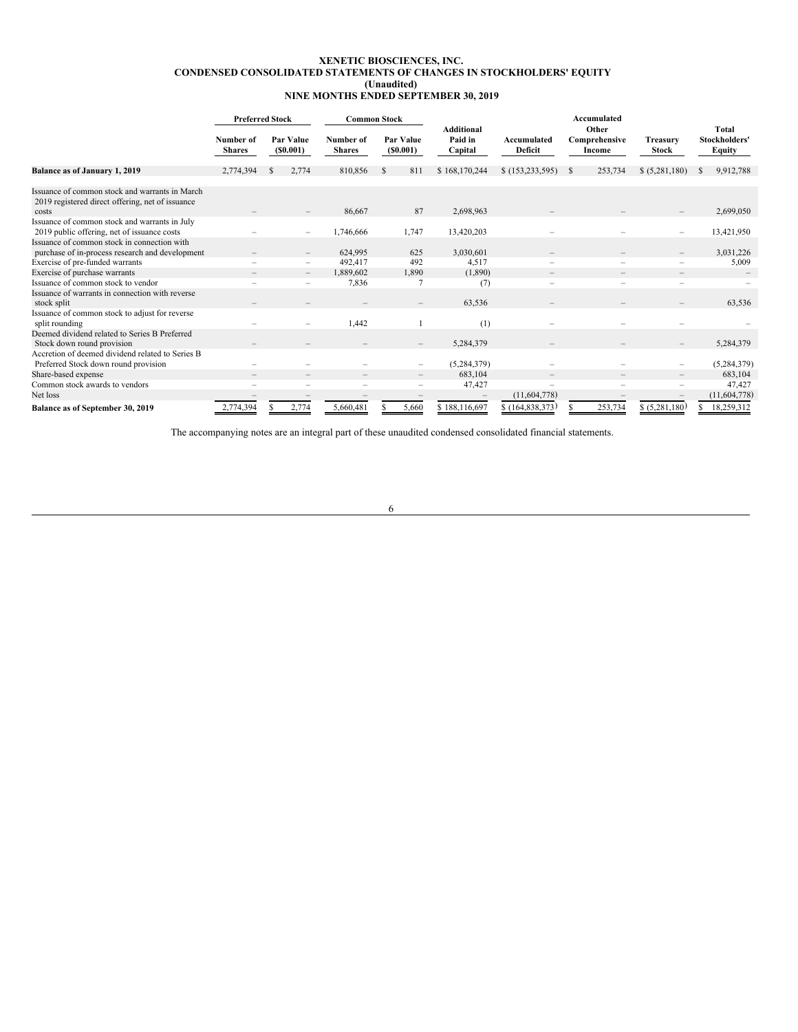### **XENETIC BIOSCIENCES, INC. CONDENSED CONSOLIDATED STATEMENTS OF CHANGES IN STOCKHOLDERS' EQUITY (Unaudited) NINE MONTHS ENDED SEPTEMBER 30, 2019**

|                                                                                                             | <b>Preferred Stock</b>     |              |                                 | <b>Common Stock</b>        |               |                       |                                         |                               | Accumulated |                                  |                          |                                  |              |
|-------------------------------------------------------------------------------------------------------------|----------------------------|--------------|---------------------------------|----------------------------|---------------|-----------------------|-----------------------------------------|-------------------------------|-------------|----------------------------------|--------------------------|----------------------------------|--------------|
|                                                                                                             | Number of<br><b>Shares</b> |              | Par Value<br>(S0.001)           | Number of<br><b>Shares</b> |               | Par Value<br>(S0.001) | <b>Additional</b><br>Paid in<br>Capital | Accumulated<br><b>Deficit</b> |             | Other<br>Comprehensive<br>Income | Treasurv<br><b>Stock</b> | Total<br>Stockholders'<br>Equity |              |
| Balance as of January 1, 2019                                                                               | 2,774,394                  | <sup>S</sup> | 2,774                           | 810,856                    | <sup>\$</sup> | 811                   | \$168,170,244                           | \$(153, 233, 595)             | -S          | 253,734                          | \$ (5,281,180)           | S                                | 9,912,788    |
| Issuance of common stock and warrants in March<br>2019 registered direct offering, net of issuance<br>costs |                            |              |                                 | 86,667                     |               | 87                    | 2,698,963                               |                               |             |                                  |                          |                                  | 2,699,050    |
| Issuance of common stock and warrants in July<br>2019 public offering, net of issuance costs                |                            |              | ۰                               | 1,746,666                  |               | 1,747                 | 13,420,203                              |                               |             |                                  |                          |                                  | 13,421,950   |
| Issuance of common stock in connection with<br>purchase of in-process research and development              |                            |              | $\overline{\phantom{m}}$        | 624,995                    |               | 625                   | 3,030,601                               |                               |             |                                  |                          |                                  | 3,031,226    |
| Exercise of pre-funded warrants                                                                             |                            |              | $\overline{\phantom{a}}$        | 492,417                    |               | 492                   | 4,517                                   |                               |             |                                  |                          |                                  | 5,009        |
| Exercise of purchase warrants                                                                               |                            |              | $\hspace{0.1mm}-\hspace{0.1mm}$ | 1,889,602                  |               | 1,890                 | (1,890)                                 |                               |             |                                  |                          |                                  |              |
| Issuance of common stock to vendor                                                                          |                            |              |                                 | 7,836                      |               | 7                     | (7)                                     |                               |             |                                  | -                        |                                  |              |
| Issuance of warrants in connection with reverse<br>stock split                                              |                            |              |                                 |                            |               |                       | 63,536                                  |                               |             |                                  |                          |                                  | 63,536       |
| Issuance of common stock to adjust for reverse<br>split rounding                                            |                            |              |                                 | 1,442                      |               |                       | (1)                                     |                               |             |                                  |                          |                                  |              |
| Deemed dividend related to Series B Preferred<br>Stock down round provision                                 |                            |              |                                 |                            |               |                       | 5,284,379                               |                               |             |                                  |                          |                                  | 5,284,379    |
| Accretion of deemed dividend related to Series B<br>Preferred Stock down round provision                    |                            |              |                                 |                            |               |                       | (5,284,379)                             |                               |             |                                  |                          |                                  | (5,284,379)  |
| Share-based expense                                                                                         |                            |              |                                 |                            |               | $\qquad \qquad -$     | 683,104                                 |                               |             |                                  |                          |                                  | 683,104      |
| Common stock awards to vendors                                                                              |                            |              |                                 |                            |               |                       | 47,427                                  |                               |             |                                  |                          |                                  | 47,427       |
| Net loss                                                                                                    |                            |              |                                 |                            |               |                       |                                         | (11,604,778)                  |             |                                  |                          |                                  | (11,604,778) |
| Balance as of September 30, 2019                                                                            | 2,774,394                  |              | 2,774                           | 5,660,481                  |               | 5,660                 | \$188,116,697                           | \$(164,838,373)               |             | 253,734                          | \$ (5,281,180)           | S                                | 18,259,312   |

The accompanying notes are an integral part of these unaudited condensed consolidated financial statements.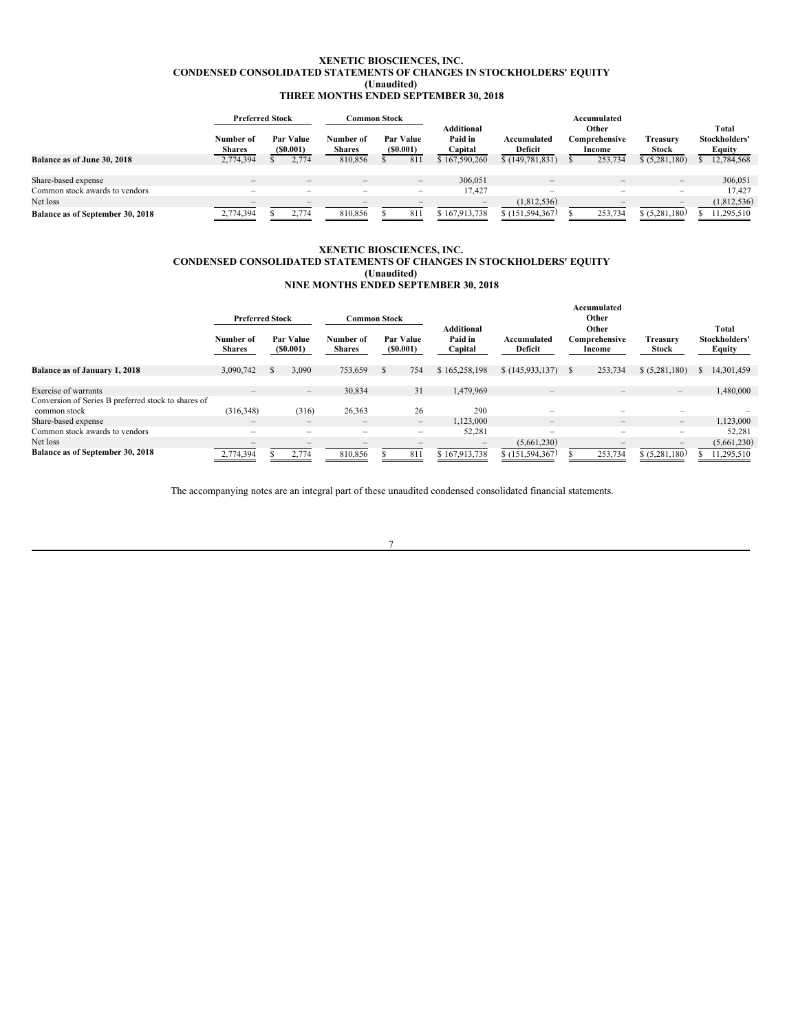### **XENETIC BIOSCIENCES, INC. CONDENSED CONSOLIDATED STATEMENTS OF CHANGES IN STOCKHOLDERS' EQUITY (Unaudited) THREE MONTHS ENDED SEPTEMBER 30, 2018**

|                                    | <b>Preferred Stock</b>       |                          | Common Stock                    |  |                                 |                                  |                                 |                                  | Accumulated              |                                   |                                         |             |
|------------------------------------|------------------------------|--------------------------|---------------------------------|--|---------------------------------|----------------------------------|---------------------------------|----------------------------------|--------------------------|-----------------------------------|-----------------------------------------|-------------|
|                                    | Number of<br><b>Shares</b>   | Par Value<br>(S0.001)    | Number of<br><b>Shares</b>      |  | Par Value<br>(S0.001)           | Additional<br>Paid in<br>Capital | Accumulated<br><b>Deficit</b>   | Other<br>Comprehensive<br>Income |                          | Treasurv<br>Stock                 | Total<br>Stockholders'<br><b>Equity</b> |             |
| <b>Balance as of June 30, 2018</b> | 2,774,394                    | 2.774                    | 810,856                         |  | 811                             | \$167,590,260                    | \$(149, 781, 831)               |                                  | 253,734                  | \$ (5,281,180)                    |                                         | 12,784,568  |
| Share-based expense                | $\qquad \qquad \blacksquare$ | $\qquad \qquad -$        | $\hspace{0.1mm}-\hspace{0.1mm}$ |  | $\hspace{0.1mm}-\hspace{0.1mm}$ | 306,051                          | $\hspace{0.1mm}-\hspace{0.1mm}$ |                                  | $\qquad \qquad -$        | $\hspace{1.0cm} - \hspace{1.0cm}$ |                                         | 306,051     |
| Common stock awards to vendors     | $\overline{\phantom{a}}$     | $\overline{\phantom{a}}$ | $\overline{\phantom{a}}$        |  | $\overline{\phantom{a}}$        | 17.427                           | $\overline{\phantom{a}}$        |                                  | $\overline{\phantom{a}}$ | $\overline{\phantom{a}}$          |                                         | 17.427      |
| Net loss                           | $\overline{\phantom{a}}$     |                          |                                 |  | $\overline{\phantom{a}}$        | -                                | (1,812,536)                     |                                  | $\overline{\phantom{a}}$ | $\hspace{0.1mm}-\hspace{0.1mm}$   |                                         | (1,812,536) |
| Balance as of September 30, 2018   | 2,774,394                    | 2,774                    | 810,856                         |  | 81                              | \$167,913,738                    | \$(151, 594, 367)               |                                  | 253,734                  | \$ (5,281,180)                    |                                         | 11,295,510  |

### **XENETIC BIOSCIENCES, INC. CONDENSED CONSOLIDATED STATEMENTS OF CHANGES IN STOCKHOLDERS' EQUITY (Unaudited) NINE MONTHS ENDED SEPTEMBER 30, 2018**

|                                                                     | <b>Preferred Stock</b><br><b>Common Stock</b> |  |                                 |                            |  |                                       |                                         |                                 |     |                                  |                                 |                                  |
|---------------------------------------------------------------------|-----------------------------------------------|--|---------------------------------|----------------------------|--|---------------------------------------|-----------------------------------------|---------------------------------|-----|----------------------------------|---------------------------------|----------------------------------|
|                                                                     | Number of<br><b>Shares</b>                    |  | Par Value<br>(S0.001)           | Number of<br><b>Shares</b> |  | Par Value<br>(S0.001)                 | <b>Additional</b><br>Paid in<br>Capital | Accumulated<br>Deficit          |     | Other<br>Comprehensive<br>Income | <b>Treasury</b><br>Stock        | Total<br>Stockholders'<br>Equity |
| <b>Balance as of January 1, 2018</b>                                | 3,090,742                                     |  | 3.090                           | 753,659                    |  | 754                                   | \$165,258,198                           | \$(145,933,137)                 | - S | 253,734                          | \$ (5,281,180)                  | 14,301,459                       |
| <b>Exercise of warrants</b>                                         | $\qquad \qquad -$                             |  | $\hspace{0.1mm}-\hspace{0.1mm}$ | 30,834                     |  | 31                                    | 1,479,969                               | $\hspace{0.1mm}-\hspace{0.1mm}$ |     |                                  | $\qquad \qquad -$               | 1,480,000                        |
| Conversion of Series B preferred stock to shares of<br>common stock | (316, 348)                                    |  | (316)                           | 26,363                     |  | 26                                    | 290                                     | ۰                               |     | -                                | -                               |                                  |
| Share-based expense                                                 | $\qquad \qquad \blacksquare$                  |  | $\qquad \qquad -$               | $\qquad \qquad -$          |  | $\qquad \qquad -$                     | 1,123,000                               | $\overline{\phantom{m}}$        |     |                                  | $\hspace{0.1mm}-\hspace{0.1mm}$ | 1,123,000                        |
| Common stock awards to vendors                                      | $\overline{\phantom{0}}$                      |  | $\overline{\phantom{a}}$        | $\overline{\phantom{m}}$   |  | $\hspace{1.0cm} \rule{1.5cm}{0.15cm}$ | 52,281                                  | $\overline{\phantom{a}}$        |     | $-$                              | -                               | 52,281                           |
| Net loss                                                            |                                               |  |                                 |                            |  |                                       |                                         | (5,661,230)                     |     |                                  |                                 | (5,661,230)                      |
| Balance as of September 30, 2018                                    | 2,774,394                                     |  | 2.774                           | 810,856                    |  | 811                                   | \$167,913,738                           | \$(151, 594, 367)               |     | 253,734                          | \$ (5,281,180)                  | 11,295,510                       |

The accompanying notes are an integral part of these unaudited condensed consolidated financial statements.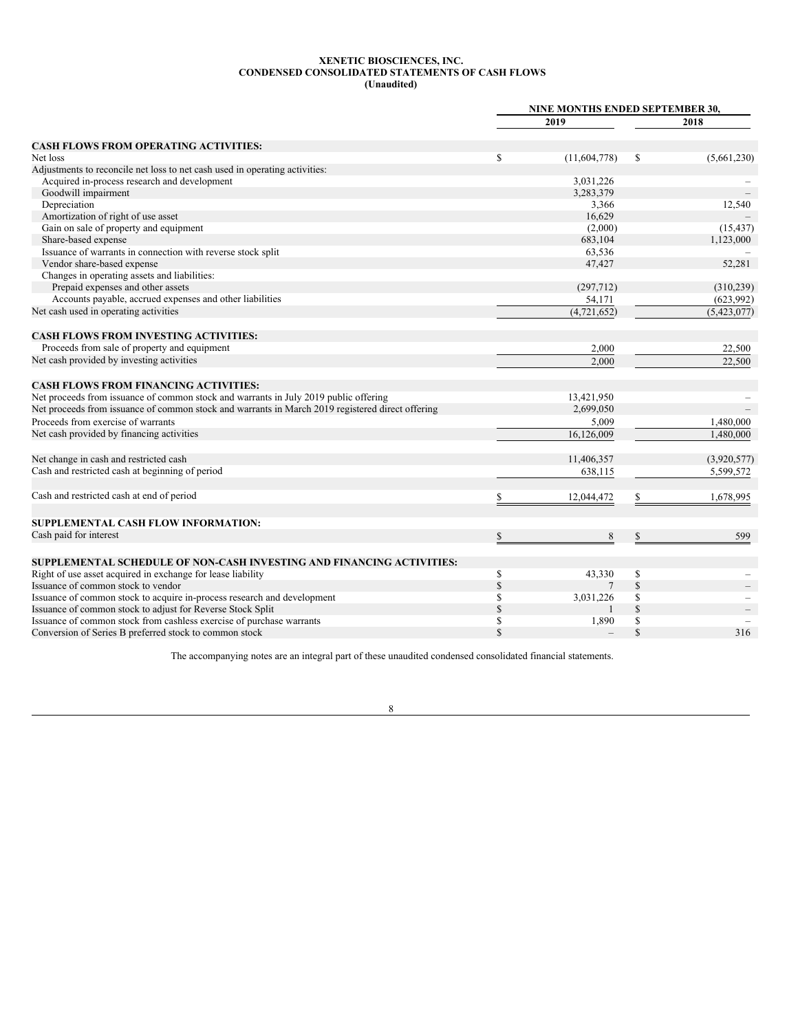### <span id="page-7-0"></span>**XENETIC BIOSCIENCES, INC. CONDENSED CONSOLIDATED STATEMENTS OF CASH FLOWS (Unaudited)**

|                                                                                                  | NINE MONTHS ENDED SEPTEMBER 30, |              |              |               |  |
|--------------------------------------------------------------------------------------------------|---------------------------------|--------------|--------------|---------------|--|
|                                                                                                  |                                 | 2019         |              | 2018          |  |
| <b>CASH FLOWS FROM OPERATING ACTIVITIES:</b>                                                     |                                 |              |              |               |  |
| Net loss                                                                                         | \$                              | (11,604,778) | S            | (5,661,230)   |  |
| Adjustments to reconcile net loss to net cash used in operating activities:                      |                                 |              |              |               |  |
| Acquired in-process research and development                                                     |                                 | 3,031,226    |              |               |  |
| Goodwill impairment                                                                              |                                 | 3,283,379    |              |               |  |
| Depreciation                                                                                     |                                 | 3,366        |              | 12,540        |  |
| Amortization of right of use asset                                                               |                                 | 16,629       |              |               |  |
| Gain on sale of property and equipment                                                           |                                 | (2,000)      |              |               |  |
|                                                                                                  |                                 |              |              | (15, 437)     |  |
| Share-based expense                                                                              |                                 | 683,104      |              | 1,123,000     |  |
| Issuance of warrants in connection with reverse stock split                                      |                                 | 63,536       |              |               |  |
| Vendor share-based expense                                                                       |                                 | 47,427       |              | 52,281        |  |
| Changes in operating assets and liabilities:                                                     |                                 |              |              |               |  |
| Prepaid expenses and other assets                                                                |                                 | (297, 712)   |              | (310, 239)    |  |
| Accounts payable, accrued expenses and other liabilities                                         |                                 | 54,171       |              | (623,992)     |  |
| Net cash used in operating activities                                                            |                                 | (4,721,652)  |              | (5, 423, 077) |  |
| <b>CASH FLOWS FROM INVESTING ACTIVITIES:</b>                                                     |                                 |              |              |               |  |
| Proceeds from sale of property and equipment                                                     |                                 | 2,000        |              | 22,500        |  |
| Net cash provided by investing activities                                                        |                                 | 2.000        |              | 22,500        |  |
| <b>CASH FLOWS FROM FINANCING ACTIVITIES:</b>                                                     |                                 |              |              |               |  |
| Net proceeds from issuance of common stock and warrants in July 2019 public offering             |                                 | 13,421,950   |              |               |  |
| Net proceeds from issuance of common stock and warrants in March 2019 registered direct offering |                                 | 2,699,050    |              |               |  |
| Proceeds from exercise of warrants                                                               |                                 | 5,009        |              | 1,480,000     |  |
| Net cash provided by financing activities                                                        |                                 | 16,126,009   |              | 1,480,000     |  |
|                                                                                                  |                                 |              |              |               |  |
| Net change in cash and restricted cash                                                           |                                 | 11,406,357   |              | (3,920,577)   |  |
| Cash and restricted cash at beginning of period                                                  |                                 | 638,115      |              | 5,599,572     |  |
| Cash and restricted cash at end of period                                                        |                                 | 12,044,472   |              | 1,678,995     |  |
| SUPPLEMENTAL CASH FLOW INFORMATION:                                                              |                                 |              |              |               |  |
| Cash paid for interest                                                                           | \$                              | 8            | \$           | 599           |  |
|                                                                                                  |                                 |              |              |               |  |
| SUPPLEMENTAL SCHEDULE OF NON-CASH INVESTING AND FINANCING ACTIVITIES:                            |                                 |              |              |               |  |
| Right of use asset acquired in exchange for lease liability                                      | \$                              | 43,330       | $\mathbb{S}$ |               |  |
| Issuance of common stock to vendor                                                               | $\sqrt{\frac{1}{2}}$            |              | $\mathbb{S}$ |               |  |
| Issuance of common stock to acquire in-process research and development                          | \$                              | 3,031,226    | \$           |               |  |
| Issuance of common stock to adjust for Reverse Stock Split                                       | \$                              |              | $\mathbb{S}$ |               |  |
| Issuance of common stock from cashless exercise of purchase warrants                             | \$                              | 1,890        | \$           |               |  |
| Conversion of Series B preferred stock to common stock                                           | $\mathbf S$                     |              | $\mathbb{S}$ | 316           |  |

The accompanying notes are an integral part of these unaudited condensed consolidated financial statements.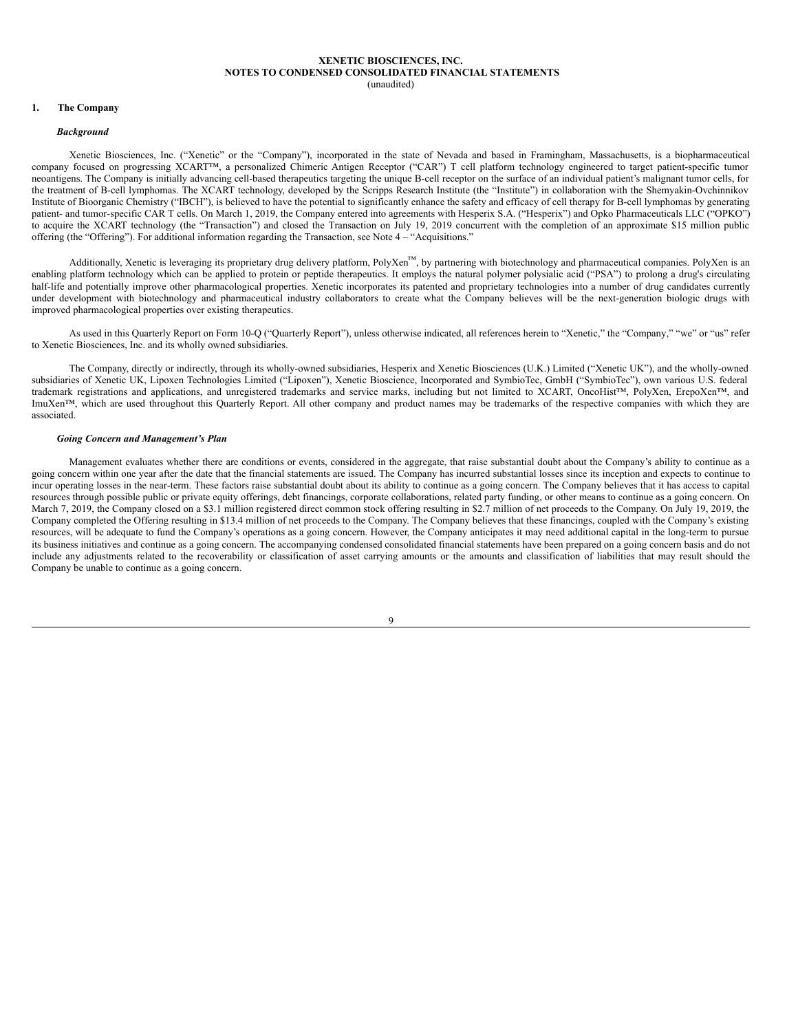#### <span id="page-8-0"></span>**XENETIC BIOSCIENCES, INC. NOTES TO CONDENSED CONSOLIDATED FINANCIAL STATEMENTS** (unaudited)

### **1. The Company**

### *Background*

Xenetic Biosciences, Inc. ("Xenetic" or the "Company"), incorporated in the state of Nevada and based in Framingham, Massachusetts, is a biopharmaceutical company focused on progressing XCART™, a personalized Chimeric Antigen Receptor ("CAR") T cell platform technology engineered to target patient-specific tumor neoantigens. The Company is initially advancing cell-based therapeutics targeting the unique B-cell receptor on the surface of an individual patient's malignant tumor cells, for the treatment of B-cell lymphomas. The XCART technology, developed by the Scripps Research Institute (the "Institute") in collaboration with the Shemyakin-Ovchinnikov Institute of Bioorganic Chemistry ("IBCH"), is believed to have the potential to significantly enhance the safety and efficacy of cell therapy for B-cell lymphomas by generating patient- and tumor-specific CAR T cells. On March 1, 2019, the Company entered into agreements with Hesperix S.A. ("Hesperix") and Opko Pharmaceuticals LLC ("OPKO") to acquire the XCART technology (the "Transaction") and closed the Transaction on July 19, 2019 concurrent with the completion of an approximate \$15 million public offering (the "Offering"). For additional information regarding the Transaction, see Note 4 – "Acquisitions."

Additionally, Xenetic is leveraging its proprietary drug delivery platform, PolyXen<sup>™</sup>, by partnering with biotechnology and pharmaceutical companies. PolyXen is an enabling platform technology which can be applied to protein or peptide therapeutics. It employs the natural polymer polysialic acid ("PSA") to prolong a drug's circulating half-life and potentially improve other pharmacological properties. Xenetic incorporates its patented and proprietary technologies into a number of drug candidates currently under development with biotechnology and pharmaceutical industry collaborators to create what the Company believes will be the next-generation biologic drugs with improved pharmacological properties over existing therapeutics.

As used in this Quarterly Report on Form 10-Q ("Quarterly Report"), unless otherwise indicated, all references herein to "Xenetic," the "Company," "we" or "us" refer to Xenetic Biosciences, Inc. and its wholly owned subsidiaries.

The Company, directly or indirectly, through its wholly-owned subsidiaries, Hesperix and Xenetic Biosciences (U.K.) Limited ("Xenetic UK"), and the wholly-owned subsidiaries of Xenetic UK, Lipoxen Technologies Limited ("Lipoxen"), Xenetic Bioscience, Incorporated and SymbioTec, GmbH ("SymbioTec"), own various U.S. federal trademark registrations and applications, and unregistered trademarks and service marks, including but not limited to XCART, OncoHist™, PolyXen, ErepoXen™, and ImuXen™, which are used throughout this Quarterly Report. All other company and product names may be trademarks of the respective companies with which they are associated.

### *Going Concern and Management's Plan*

Management evaluates whether there are conditions or events, considered in the aggregate, that raise substantial doubt about the Company's ability to continue as a going concern within one year after the date that the financial statements are issued. The Company has incurred substantial losses since its inception and expects to continue to incur operating losses in the near-term. These factors raise substantial doubt about its ability to continue as a going concern. The Company believes that it has access to capital resources through possible public or private equity offerings, debt financings, corporate collaborations, related party funding, or other means to continue as a going concern. On March 7, 2019, the Company closed on a \$3.1 million registered direct common stock offering resulting in \$2.7 million of net proceeds to the Company. On July 19, 2019, the Company completed the Offering resulting in \$13.4 million of net proceeds to the Company. The Company believes that these financings, coupled with the Company's existing resources, will be adequate to fund the Company's operations as a going concern. However, the Company anticipates it may need additional capital in the long-term to pursue its business initiatives and continue as a going concern. The accompanying condensed consolidated financial statements have been prepared on a going concern basis and do not include any adjustments related to the recoverability or classification of asset carrying amounts or the amounts and classification of liabilities that may result should the Company be unable to continue as a going concern.

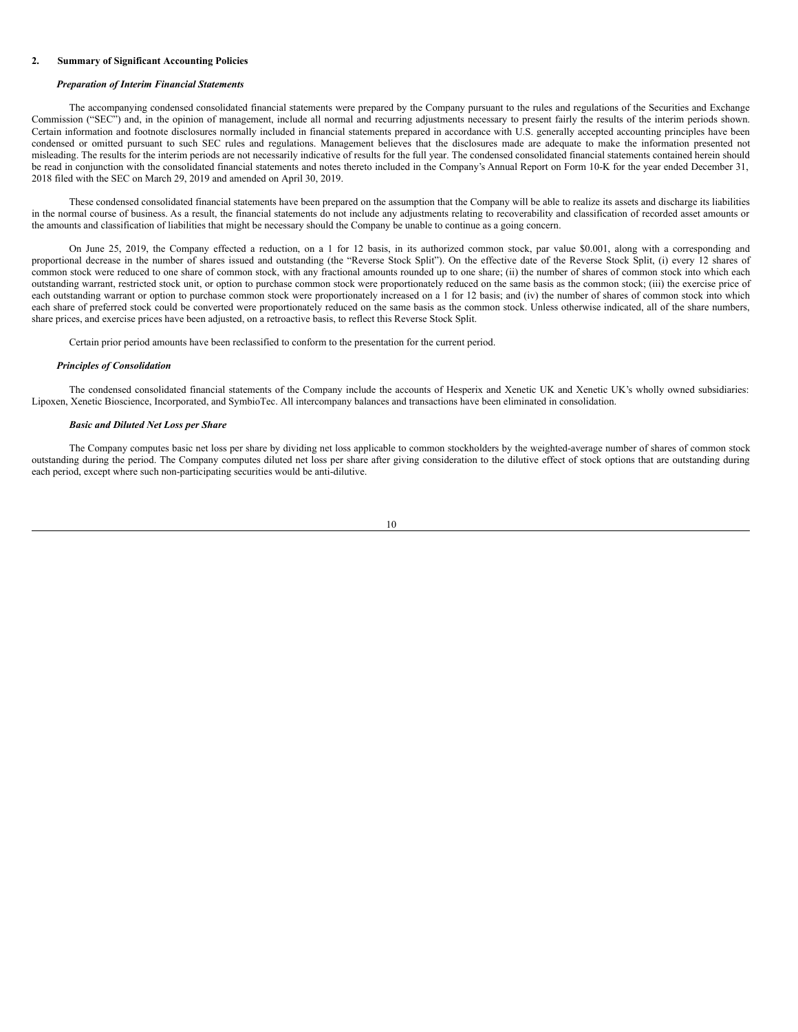#### **2. Summary of Significant Accounting Policies**

#### *Preparation of Interim Financial Statements*

The accompanying condensed consolidated financial statements were prepared by the Company pursuant to the rules and regulations of the Securities and Exchange Commission ("SEC") and, in the opinion of management, include all normal and recurring adjustments necessary to present fairly the results of the interim periods shown. Certain information and footnote disclosures normally included in financial statements prepared in accordance with U.S. generally accepted accounting principles have been condensed or omitted pursuant to such SEC rules and regulations. Management believes that the disclosures made are adequate to make the information presented not misleading. The results for the interim periods are not necessarily indicative of results for the full year. The condensed consolidated financial statements contained herein should be read in conjunction with the consolidated financial statements and notes thereto included in the Company's Annual Report on Form 10-K for the year ended December 31, 2018 filed with the SEC on March 29, 2019 and amended on April 30, 2019.

These condensed consolidated financial statements have been prepared on the assumption that the Company will be able to realize its assets and discharge its liabilities in the normal course of business. As a result, the financial statements do not include any adjustments relating to recoverability and classification of recorded asset amounts or the amounts and classification of liabilities that might be necessary should the Company be unable to continue as a going concern.

On June 25, 2019, the Company effected a reduction, on a 1 for 12 basis, in its authorized common stock, par value \$0.001, along with a corresponding and proportional decrease in the number of shares issued and outstanding (the "Reverse Stock Split"). On the effective date of the Reverse Stock Split, (i) every 12 shares of common stock were reduced to one share of common stock, with any fractional amounts rounded up to one share; (ii) the number of shares of common stock into which each outstanding warrant, restricted stock unit, or option to purchase common stock were proportionately reduced on the same basis as the common stock; (iii) the exercise price of each outstanding warrant or option to purchase common stock were proportionately increased on a 1 for 12 basis; and (iv) the number of shares of common stock into which each share of preferred stock could be converted were proportionately reduced on the same basis as the common stock. Unless otherwise indicated, all of the share numbers, share prices, and exercise prices have been adjusted, on a retroactive basis, to reflect this Reverse Stock Split.

Certain prior period amounts have been reclassified to conform to the presentation for the current period.

### *Principles of Consolidation*

The condensed consolidated financial statements of the Company include the accounts of Hesperix and Xenetic UK and Xenetic UK's wholly owned subsidiaries: Lipoxen, Xenetic Bioscience, Incorporated, and SymbioTec. All intercompany balances and transactions have been eliminated in consolidation.

### *Basic and Diluted Net Loss per Share*

The Company computes basic net loss per share by dividing net loss applicable to common stockholders by the weighted-average number of shares of common stock outstanding during the period. The Company computes diluted net loss per share after giving consideration to the dilutive effect of stock options that are outstanding during each period, except where such non-participating securities would be anti-dilutive.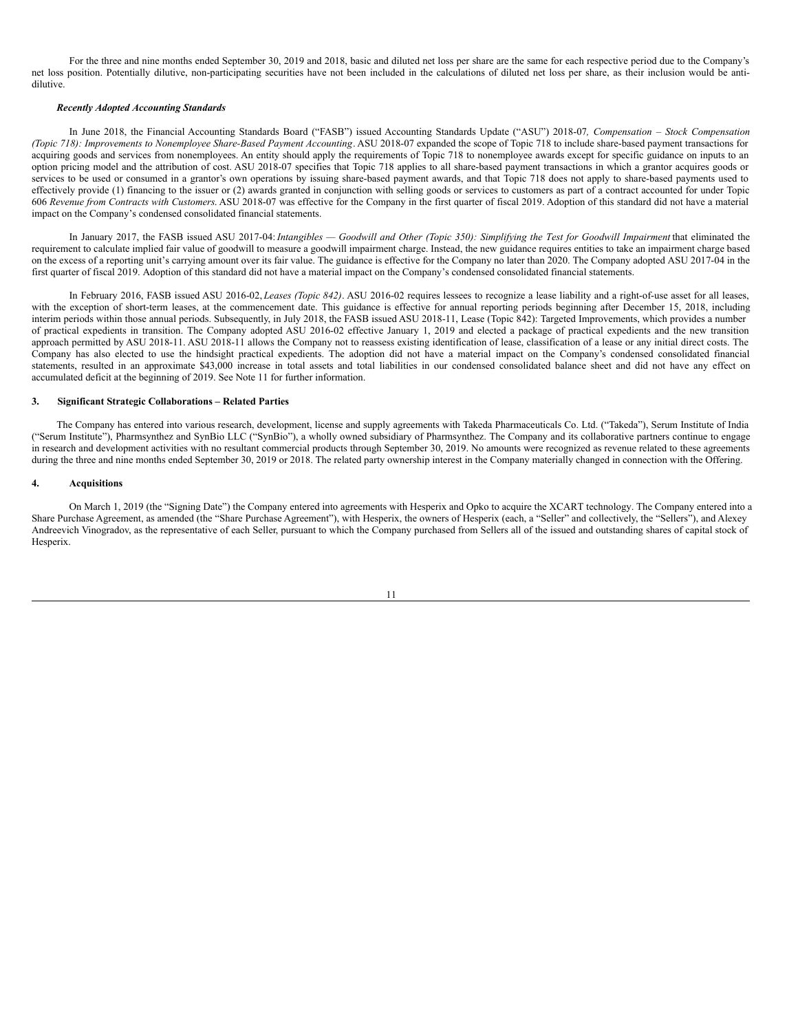For the three and nine months ended September 30, 2019 and 2018, basic and diluted net loss per share are the same for each respective period due to the Company's net loss position. Potentially dilutive, non-participating securities have not been included in the calculations of diluted net loss per share, as their inclusion would be antidilutive.

# *Recently Adopted Accounting Standards*

In June 2018, the Financial Accounting Standards Board ("FASB") issued Accounting Standards Update ("ASU") 2018-07*, Compensation – Stock Compensation (Topic 718): Improvements to Nonemployee Share-Based Payment Accounting*. ASU 2018-07 expanded the scope of Topic 718 to include share-based payment transactions for acquiring goods and services from nonemployees. An entity should apply the requirements of Topic 718 to nonemployee awards except for specific guidance on inputs to an option pricing model and the attribution of cost. ASU 2018-07 specifies that Topic 718 applies to all share-based payment transactions in which a grantor acquires goods or services to be used or consumed in a grantor's own operations by issuing share-based payment awards, and that Topic 718 does not apply to share-based payments used to effectively provide (1) financing to the issuer or (2) awards granted in conjunction with selling goods or services to customers as part of a contract accounted for under Topic 606 *Revenue from Contracts with Customers*. ASU 2018-07 was effective for the Company in the first quarter of fiscal 2019. Adoption of this standard did not have a material impact on the Company's condensed consolidated financial statements.

In January 2017, the FASB issued ASU 2017-04: Intangibles - Goodwill and Other (Topic 350): Simplifying the Test for Goodwill Impairment that eliminated the requirement to calculate implied fair value of goodwill to measure a goodwill impairment charge. Instead, the new guidance requires entities to take an impairment charge based on the excess of a reporting unit's carrying amount over its fair value. The guidance is effective for the Company no later than 2020. The Company adopted ASU 2017-04 in the first quarter of fiscal 2019. Adoption of this standard did not have a material impact on the Company's condensed consolidated financial statements.

In February 2016, FASB issued ASU 2016-02, *Leases (Topic 842)*. ASU 2016-02 requires lessees to recognize a lease liability and a right-of-use asset for all leases, with the exception of short-term leases, at the commencement date. This guidance is effective for annual reporting periods beginning after December 15, 2018, including interim periods within those annual periods. Subsequently, in July 2018, the FASB issued ASU 2018-11, Lease (Topic 842): Targeted Improvements, which provides a number of practical expedients in transition. The Company adopted ASU 2016-02 effective January 1, 2019 and elected a package of practical expedients and the new transition approach permitted by ASU 2018-11. ASU 2018-11 allows the Company not to reassess existing identification of lease, classification of a lease or any initial direct costs. The Company has also elected to use the hindsight practical expedients. The adoption did not have a material impact on the Company's condensed consolidated financial statements, resulted in an approximate \$43,000 increase in total assets and total liabilities in our condensed consolidated balance sheet and did not have any effect on accumulated deficit at the beginning of 2019. See Note 11 for further information.

### **3. Significant Strategic Collaborations – Related Parties**

The Company has entered into various research, development, license and supply agreements with Takeda Pharmaceuticals Co. Ltd. ("Takeda"), Serum Institute of India ("Serum Institute"), Pharmsynthez and SynBio LLC ("SynBio"), a wholly owned subsidiary of Pharmsynthez. The Company and its collaborative partners continue to engage in research and development activities with no resultant commercial products through September 30, 2019. No amounts were recognized as revenue related to these agreements during the three and nine months ended September 30, 2019 or 2018. The related party ownership interest in the Company materially changed in connection with the Offering.

#### **4. Acquisitions**

On March 1, 2019 (the "Signing Date") the Company entered into agreements with Hesperix and Opko to acquire the XCART technology. The Company entered into a Share Purchase Agreement, as amended (the "Share Purchase Agreement"), with Hesperix, the owners of Hesperix (each, a "Seller" and collectively, the "Sellers"), and Alexey Andreevich Vinogradov, as the representative of each Seller, pursuant to which the Company purchased from Sellers all of the issued and outstanding shares of capital stock of Hesperix.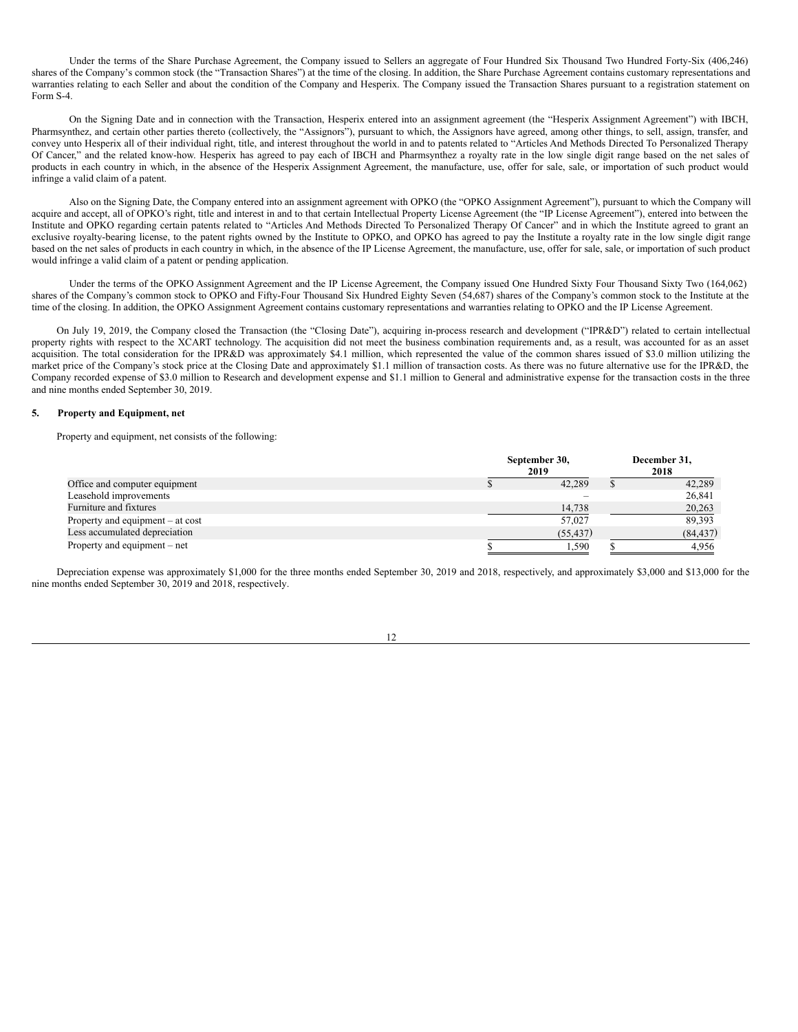Under the terms of the Share Purchase Agreement, the Company issued to Sellers an aggregate of Four Hundred Six Thousand Two Hundred Forty-Six (406,246) shares of the Company's common stock (the "Transaction Shares") at the time of the closing. In addition, the Share Purchase Agreement contains customary representations and warranties relating to each Seller and about the condition of the Company and Hesperix. The Company issued the Transaction Shares pursuant to a registration statement on Form S-4.

On the Signing Date and in connection with the Transaction, Hesperix entered into an assignment agreement (the "Hesperix Assignment Agreement") with IBCH, Pharmsynthez, and certain other parties thereto (collectively, the "Assignors"), pursuant to which, the Assignors have agreed, among other things, to sell, assign, transfer, and convey unto Hesperix all of their individual right, title, and interest throughout the world in and to patents related to "Articles And Methods Directed To Personalized Therapy Of Cancer," and the related know-how. Hesperix has agreed to pay each of IBCH and Pharmsynthez a royalty rate in the low single digit range based on the net sales of products in each country in which, in the absence of the Hesperix Assignment Agreement, the manufacture, use, offer for sale, sale, or importation of such product would infringe a valid claim of a patent.

Also on the Signing Date, the Company entered into an assignment agreement with OPKO (the "OPKO Assignment Agreement"), pursuant to which the Company will acquire and accept, all of OPKO's right, title and interest in and to that certain Intellectual Property License Agreement (the "IP License Agreement"), entered into between the Institute and OPKO regarding certain patents related to "Articles And Methods Directed To Personalized Therapy Of Cancer" and in which the Institute agreed to grant an exclusive royalty-bearing license, to the patent rights owned by the Institute to OPKO, and OPKO has agreed to pay the Institute a royalty rate in the low single digit range based on the net sales of products in each country in which, in the absence of the IP License Agreement, the manufacture, use, offer for sale, sale, or importation of such product would infringe a valid claim of a patent or pending application.

Under the terms of the OPKO Assignment Agreement and the IP License Agreement, the Company issued One Hundred Sixty Four Thousand Sixty Two (164,062) shares of the Company's common stock to OPKO and Fifty-Four Thousand Six Hundred Eighty Seven (54,687) shares of the Company's common stock to the Institute at the time of the closing. In addition, the OPKO Assignment Agreement contains customary representations and warranties relating to OPKO and the IP License Agreement.

On July 19, 2019, the Company closed the Transaction (the "Closing Date"), acquiring in-process research and development ("IPR&D") related to certain intellectual property rights with respect to the XCART technology. The acquisition did not meet the business combination requirements and, as a result, was accounted for as an asset acquisition. The total consideration for the IPR&D was approximately \$4.1 million, which represented the value of the common shares issued of \$3.0 million utilizing the market price of the Company's stock price at the Closing Date and approximately \$1.1 million of transaction costs. As there was no future alternative use for the IPR&D, the Company recorded expense of \$3.0 million to Research and development expense and \$1.1 million to General and administrative expense for the transaction costs in the three and nine months ended September 30, 2019.

### **5. Property and Equipment, net**

Property and equipment, net consists of the following:

|                                    | September 30,<br>2019 |  |           |  |  |
|------------------------------------|-----------------------|--|-----------|--|--|
| Office and computer equipment      | 42.289                |  | 42,289    |  |  |
| Leasehold improvements             |                       |  | 26,841    |  |  |
| Furniture and fixtures             | 14,738                |  | 20,263    |  |  |
| Property and equipment $-$ at cost | 57,027                |  | 89.393    |  |  |
| Less accumulated depreciation      | (55, 437)             |  | (84, 437) |  |  |
| Property and equipment $-$ net     | 1,590                 |  | 4.956     |  |  |

Depreciation expense was approximately \$1,000 for the three months ended September 30, 2019 and 2018, respectively, and approximately \$3,000 and \$13,000 for the nine months ended September 30, 2019 and 2018, respectively.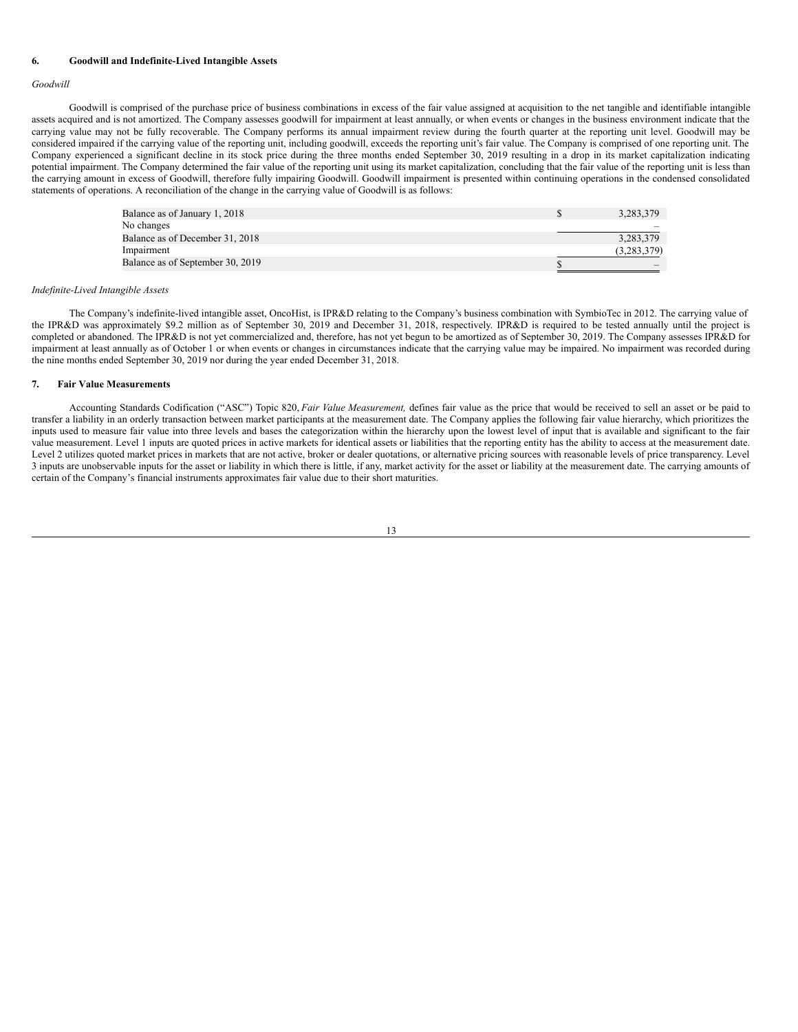#### **6. Goodwill and Indefinite-Lived Intangible Assets**

#### *Goodwill*

Goodwill is comprised of the purchase price of business combinations in excess of the fair value assigned at acquisition to the net tangible and identifiable intangible assets acquired and is not amortized. The Company assesses goodwill for impairment at least annually, or when events or changes in the business environment indicate that the carrying value may not be fully recoverable. The Company performs its annual impairment review during the fourth quarter at the reporting unit level. Goodwill may be considered impaired if the carrying value of the reporting unit, including goodwill, exceeds the reporting unit's fair value. The Company is comprised of one reporting unit. The Company experienced a significant decline in its stock price during the three months ended September 30, 2019 resulting in a drop in its market capitalization indicating potential impairment. The Company determined the fair value of the reporting unit using its market capitalization, concluding that the fair value of the reporting unit is less than the carrying amount in excess of Goodwill, therefore fully impairing Goodwill. Goodwill impairment is presented within continuing operations in the condensed consolidated statements of operations. A reconciliation of the change in the carrying value of Goodwill is as follows:

| Balance as of January 1, 2018    | 3.283.379     |
|----------------------------------|---------------|
| No changes                       |               |
| Balance as of December 31, 2018  | 3.283.379     |
| Impairment                       | (3, 283, 379) |
| Balance as of September 30, 2019 |               |

#### *Indefinite-Lived Intangible Assets*

The Company's indefinite-lived intangible asset, OncoHist, is IPR&D relating to the Company's business combination with SymbioTec in 2012. The carrying value of the IPR&D was approximately \$9.2 million as of September 30, 2019 and December 31, 2018, respectively. IPR&D is required to be tested annually until the project is completed or abandoned. The IPR&D is not yet commercialized and, therefore, has not yet begun to be amortized as of September 30, 2019. The Company assesses IPR&D for impairment at least annually as of October 1 or when events or changes in circumstances indicate that the carrying value may be impaired. No impairment was recorded during the nine months ended September 30, 2019 nor during the year ended December 31, 2018.

#### **7. Fair Value Measurements**

Accounting Standards Codification ("ASC") Topic 820, *Fair Value Measurement,* defines fair value as the price that would be received to sell an asset or be paid to transfer a liability in an orderly transaction between market participants at the measurement date. The Company applies the following fair value hierarchy, which prioritizes the inputs used to measure fair value into three levels and bases the categorization within the hierarchy upon the lowest level of input that is available and significant to the fair value measurement. Level 1 inputs are quoted prices in active markets for identical assets or liabilities that the reporting entity has the ability to access at the measurement date. Level 2 utilizes quoted market prices in markets that are not active, broker or dealer quotations, or alternative pricing sources with reasonable levels of price transparency. Level 3 inputs are unobservable inputs for the asset or liability in which there is little, if any, market activity for the asset or liability at the measurement date. The carrying amounts of certain of the Company's financial instruments approximates fair value due to their short maturities.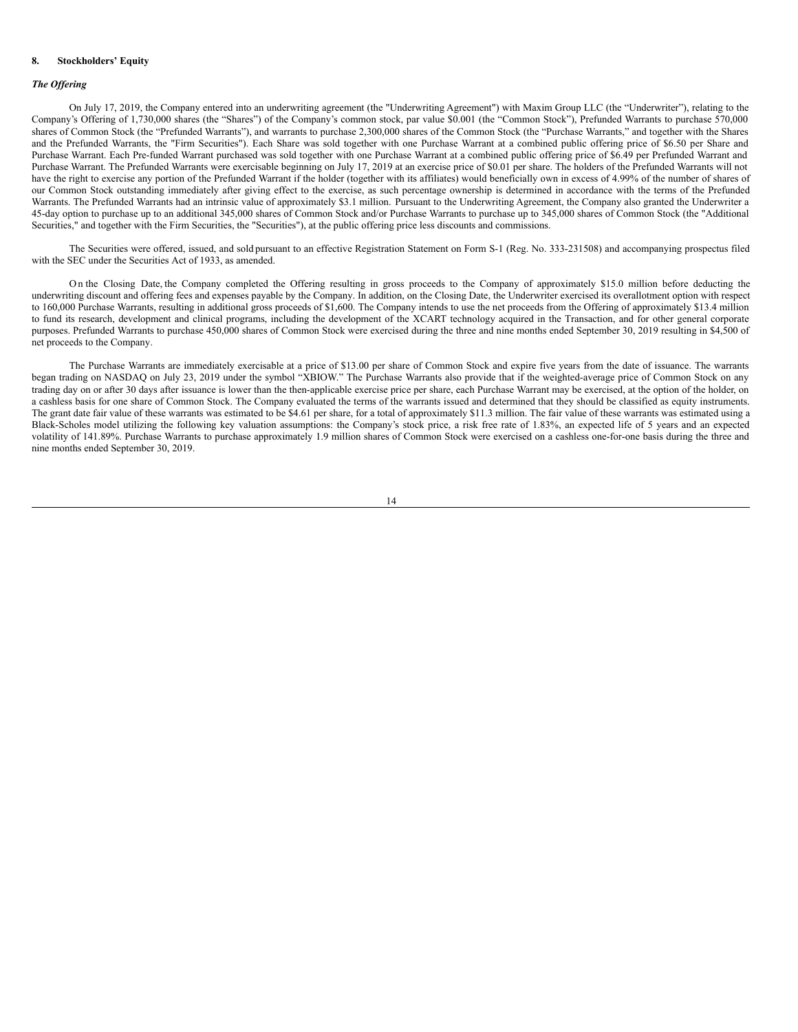### **8. Stockholders' Equity**

### *The Of ering*

On July 17, 2019, the Company entered into an underwriting agreement (the "Underwriting Agreement") with Maxim Group LLC (the "Underwriter"), relating to the Company's Offering of 1,730,000 shares (the "Shares") of the Company's common stock, par value \$0.001 (the "Common Stock"), Prefunded Warrants to purchase 570,000 shares of Common Stock (the "Prefunded Warrants"), and warrants to purchase 2,300,000 shares of the Common Stock (the "Purchase Warrants," and together with the Shares and the Prefunded Warrants, the "Firm Securities"). Each Share was sold together with one Purchase Warrant at a combined public offering price of \$6.50 per Share and Purchase Warrant. Each Pre-funded Warrant purchased was sold together with one Purchase Warrant at a combined public offering price of \$6.49 per Prefunded Warrant and Purchase Warrant. The Prefunded Warrants were exercisable beginning on July 17, 2019 at an exercise price of \$0.01 per share. The holders of the Prefunded Warrants will not have the right to exercise any portion of the Prefunded Warrant if the holder (together with its affiliates) would beneficially own in excess of 4.99% of the number of shares of our Common Stock outstanding immediately after giving effect to the exercise, as such percentage ownership is determined in accordance with the terms of the Prefunded Warrants. The Prefunded Warrants had an intrinsic value of approximately \$3.1 million. Pursuant to the Underwriting Agreement, the Company also granted the Underwriter a 45-day option to purchase up to an additional 345,000 shares of Common Stock and/or Purchase Warrants to purchase up to 345,000 shares of Common Stock (the "Additional Securities," and together with the Firm Securities, the "Securities"), at the public offering price less discounts and commissions.

The Securities were offered, issued, and sold pursuant to an effective Registration Statement on Form S-1 (Reg. No. 333-231508) and accompanying prospectus filed with the SEC under the Securities Act of 1933, as amended.

O n the Closing Date, the Company completed the Offering resulting in gross proceeds to the Company of approximately \$15.0 million before deducting the underwriting discount and offering fees and expenses payable by the Company. In addition, on the Closing Date, the Underwriter exercised its overallotment option with respect to 160,000 Purchase Warrants, resulting in additional gross proceeds of \$1,600. The Company intends to use the net proceeds from the Offering of approximately \$13.4 million to fund its research, development and clinical programs, including the development of the XCART technology acquired in the Transaction, and for other general corporate purposes. Prefunded Warrants to purchase 450,000 shares of Common Stock were exercised during the three and nine months ended September 30, 2019 resulting in \$4,500 of net proceeds to the Company.

The Purchase Warrants are immediately exercisable at a price of \$13.00 per share of Common Stock and expire five years from the date of issuance. The warrants began trading on NASDAQ on July 23, 2019 under the symbol "XBIOW." The Purchase Warrants also provide that if the weighted-average price of Common Stock on any trading day on or after 30 days after issuance is lower than the then-applicable exercise price per share, each Purchase Warrant may be exercised, at the option of the holder, on a cashless basis for one share of Common Stock. The Company evaluated the terms of the warrants issued and determined that they should be classified as equity instruments. The grant date fair value of these warrants was estimated to be \$4.61 per share, for a total of approximately \$11.3 million. The fair value of these warrants was estimated using a Black-Scholes model utilizing the following key valuation assumptions: the Company's stock price, a risk free rate of 1.83%, an expected life of 5 years and an expected volatility of 141.89%. Purchase Warrants to purchase approximately 1.9 million shares of Common Stock were exercised on a cashless one-for-one basis during the three and nine months ended September 30, 2019.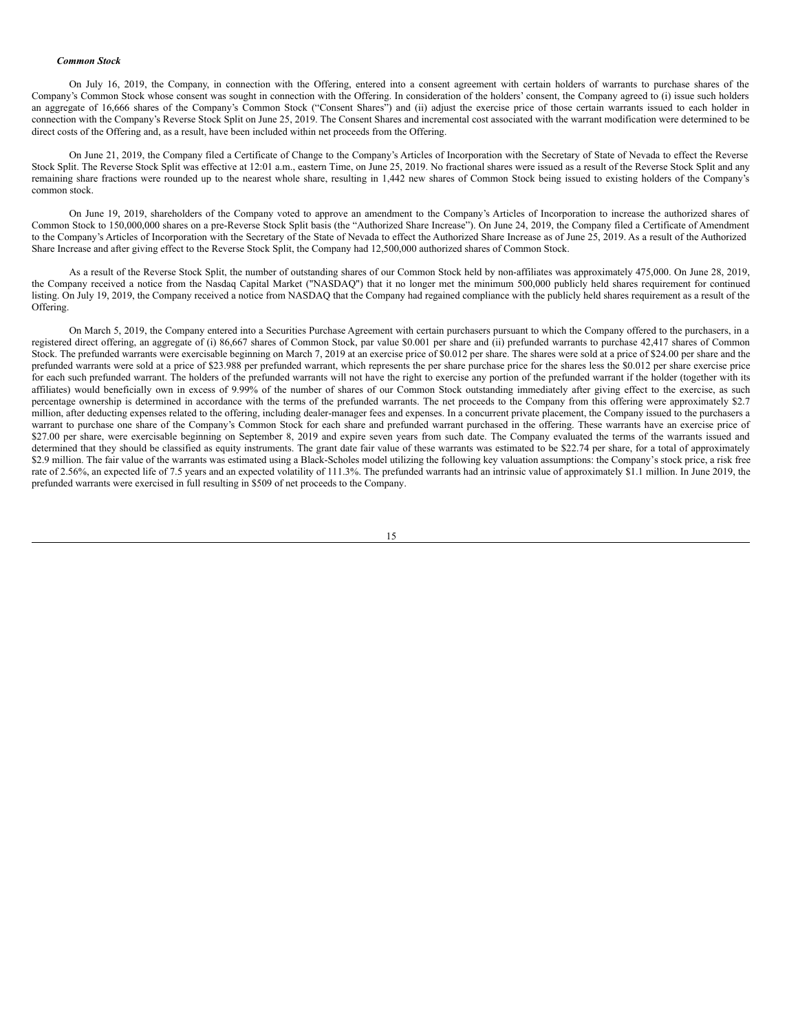#### *Common Stock*

On July 16, 2019, the Company, in connection with the Offering, entered into a consent agreement with certain holders of warrants to purchase shares of the Company's Common Stock whose consent was sought in connection with the Offering. In consideration of the holders' consent, the Company agreed to (i) issue such holders an aggregate of 16,666 shares of the Company's Common Stock ("Consent Shares") and (ii) adjust the exercise price of those certain warrants issued to each holder in connection with the Company's Reverse Stock Split on June 25, 2019. The Consent Shares and incremental cost associated with the warrant modification were determined to be direct costs of the Offering and, as a result, have been included within net proceeds from the Offering.

On June 21, 2019, the Company filed a Certificate of Change to the Company's Articles of Incorporation with the Secretary of State of Nevada to effect the Reverse Stock Split. The Reverse Stock Split was effective at 12:01 a.m., eastern Time, on June 25, 2019. No fractional shares were issued as a result of the Reverse Stock Split and any remaining share fractions were rounded up to the nearest whole share, resulting in 1,442 new shares of Common Stock being issued to existing holders of the Company's common stock.

On June 19, 2019, shareholders of the Company voted to approve an amendment to the Company's Articles of Incorporation to increase the authorized shares of Common Stock to 150,000,000 shares on a pre-Reverse Stock Split basis (the "Authorized Share Increase"). On June 24, 2019, the Company filed a Certificate of Amendment to the Company's Articles of Incorporation with the Secretary of the State of Nevada to effect the Authorized Share Increase as of June 25, 2019. As a result of the Authorized Share Increase and after giving effect to the Reverse Stock Split, the Company had 12,500,000 authorized shares of Common Stock.

As a result of the Reverse Stock Split, the number of outstanding shares of our Common Stock held by non-affiliates was approximately 475,000. On June 28, 2019, the Company received a notice from the Nasdaq Capital Market ("NASDAQ") that it no longer met the minimum 500,000 publicly held shares requirement for continued listing. On July 19, 2019, the Company received a notice from NASDAQ that the Company had regained compliance with the publicly held shares requirement as a result of the Offering.

On March 5, 2019, the Company entered into a Securities Purchase Agreement with certain purchasers pursuant to which the Company offered to the purchasers, in a registered direct offering, an aggregate of (i) 86,667 shares of Common Stock, par value \$0.001 per share and (ii) prefunded warrants to purchase 42,417 shares of Common Stock. The prefunded warrants were exercisable beginning on March 7, 2019 at an exercise price of \$0.012 per share. The shares were sold at a price of \$24.00 per share and the prefunded warrants were sold at a price of \$23.988 per prefunded warrant, which represents the per share purchase price for the shares less the \$0.012 per share exercise price for each such prefunded warrant. The holders of the prefunded warrants will not have the right to exercise any portion of the prefunded warrant if the holder (together with its affiliates) would beneficially own in excess of 9.99% of the number of shares of our Common Stock outstanding immediately after giving effect to the exercise, as such percentage ownership is determined in accordance with the terms of the prefunded warrants. The net proceeds to the Company from this offering were approximately \$2.7 million, after deducting expenses related to the offering, including dealer-manager fees and expenses. In a concurrent private placement, the Company issued to the purchasers a warrant to purchase one share of the Company's Common Stock for each share and prefunded warrant purchased in the offering. These warrants have an exercise price of \$27.00 per share, were exercisable beginning on September 8, 2019 and expire seven years from such date. The Company evaluated the terms of the warrants issued and determined that they should be classified as equity instruments. The grant date fair value of these warrants was estimated to be \$22.74 per share, for a total of approximately \$2.9 million. The fair value of the warrants was estimated using a Black-Scholes model utilizing the following key valuation assumptions: the Company's stock price, a risk free rate of 2.56%, an expected life of 7.5 years and an expected volatility of 111.3%. The prefunded warrants had an intrinsic value of approximately \$1.1 million. In June 2019, the prefunded warrants were exercised in full resulting in \$509 of net proceeds to the Company.

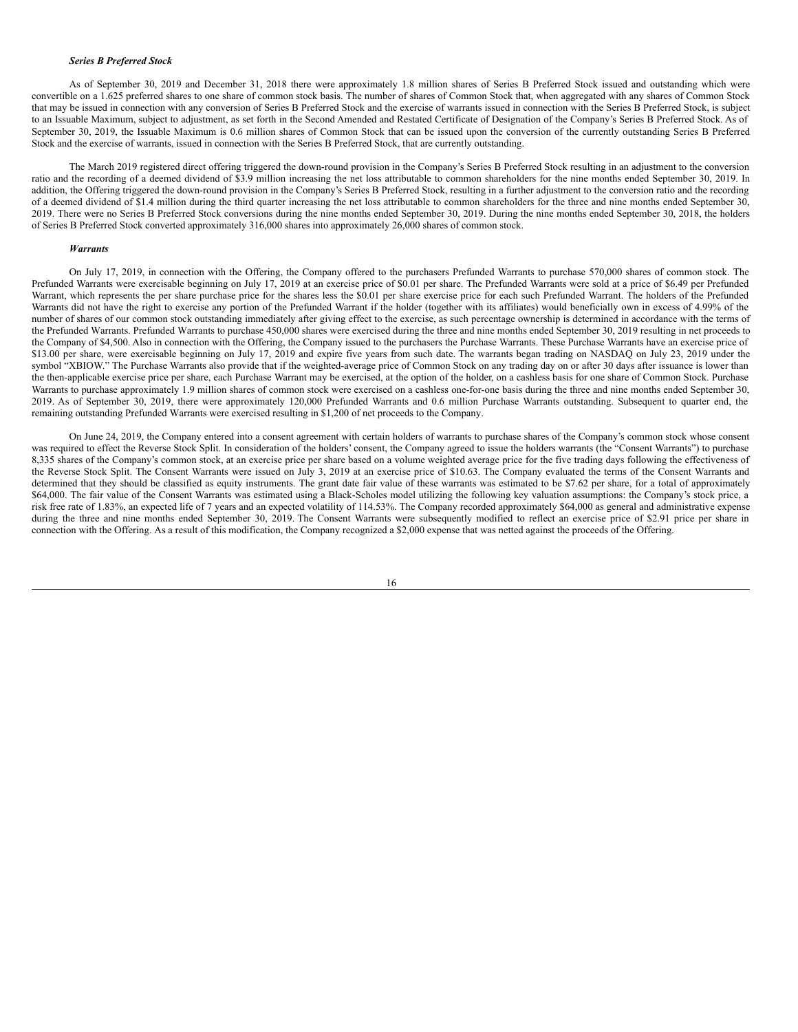### *Series B Preferred Stock*

As of September 30, 2019 and December 31, 2018 there were approximately 1.8 million shares of Series B Preferred Stock issued and outstanding which were convertible on a 1.625 preferred shares to one share of common stock basis. The number of shares of Common Stock that, when aggregated with any shares of Common Stock that may be issued in connection with any conversion of Series B Preferred Stock and the exercise of warrants issued in connection with the Series B Preferred Stock, is subject to an Issuable Maximum, subject to adjustment, as set forth in the Second Amended and Restated Certificate of Designation of the Company's Series B Preferred Stock. As of September 30, 2019, the Issuable Maximum is 0.6 million shares of Common Stock that can be issued upon the conversion of the currently outstanding Series B Preferred Stock and the exercise of warrants, issued in connection with the Series B Preferred Stock, that are currently outstanding.

The March 2019 registered direct offering triggered the down-round provision in the Company's Series B Preferred Stock resulting in an adjustment to the conversion ratio and the recording of a deemed dividend of \$3.9 million increasing the net loss attributable to common shareholders for the nine months ended September 30, 2019. In addition, the Offering triggered the down-round provision in the Company's Series B Preferred Stock, resulting in a further adjustment to the conversion ratio and the recording of a deemed dividend of \$1.4 million during the third quarter increasing the net loss attributable to common shareholders for the three and nine months ended September 30, 2019. There were no Series B Preferred Stock conversions during the nine months ended September 30, 2019. During the nine months ended September 30, 2018, the holders of Series B Preferred Stock converted approximately 316,000 shares into approximately 26,000 shares of common stock.

#### *Warrants*

On July 17, 2019, in connection with the Offering, the Company offered to the purchasers Prefunded Warrants to purchase 570,000 shares of common stock. The Prefunded Warrants were exercisable beginning on July 17, 2019 at an exercise price of \$0.01 per share. The Prefunded Warrants were sold at a price of \$6.49 per Prefunded Warrant, which represents the per share purchase price for the shares less the \$0.01 per share exercise price for each such Prefunded Warrant. The holders of the Prefunded Warrants did not have the right to exercise any portion of the Prefunded Warrant if the holder (together with its affiliates) would beneficially own in excess of 4.99% of the number of shares of our common stock outstanding immediately after giving effect to the exercise, as such percentage ownership is determined in accordance with the terms of the Prefunded Warrants. Prefunded Warrants to purchase 450,000 shares were exercised during the three and nine months ended September 30, 2019 resulting in net proceeds to the Company of \$4,500. Also in connection with the Offering, the Company issued to the purchasers the Purchase Warrants. These Purchase Warrants have an exercise price of \$13.00 per share, were exercisable beginning on July 17, 2019 and expire five years from such date. The warrants began trading on NASDAQ on July 23, 2019 under the symbol "XBIOW." The Purchase Warrants also provide that if the weighted-average price of Common Stock on any trading day on or after 30 days after issuance is lower than the then-applicable exercise price per share, each Purchase Warrant may be exercised, at the option of the holder, on a cashless basis for one share of Common Stock. Purchase Warrants to purchase approximately 1.9 million shares of common stock were exercised on a cashless one-for-one basis during the three and nine months ended September 30, 2019. As of September 30, 2019, there were approximately 120,000 Prefunded Warrants and 0.6 million Purchase Warrants outstanding. Subsequent to quarter end, the remaining outstanding Prefunded Warrants were exercised resulting in \$1,200 of net proceeds to the Company.

On June 24, 2019, the Company entered into a consent agreement with certain holders of warrants to purchase shares of the Company's common stock whose consent was required to effect the Reverse Stock Split. In consideration of the holders' consent, the Company agreed to issue the holders warrants (the "Consent Warrants") to purchase 8,335 shares of the Company's common stock, at an exercise price per share based on a volume weighted average price for the five trading days following the effectiveness of the Reverse Stock Split. The Consent Warrants were issued on July 3, 2019 at an exercise price of \$10.63. The Company evaluated the terms of the Consent Warrants and determined that they should be classified as equity instruments. The grant date fair value of these warrants was estimated to be \$7.62 per share, for a total of approximately \$64,000. The fair value of the Consent Warrants was estimated using a Black-Scholes model utilizing the following key valuation assumptions: the Company's stock price, a risk free rate of 1.83%, an expected life of 7 years and an expected volatility of 114.53%. The Company recorded approximately \$64,000 as general and administrative expense during the three and nine months ended September 30, 2019. The Consent Warrants were subsequently modified to reflect an exercise price of \$2.91 price per share in connection with the Offering. As a result of this modification, the Company recognized a \$2,000 expense that was netted against the proceeds of the Offering.

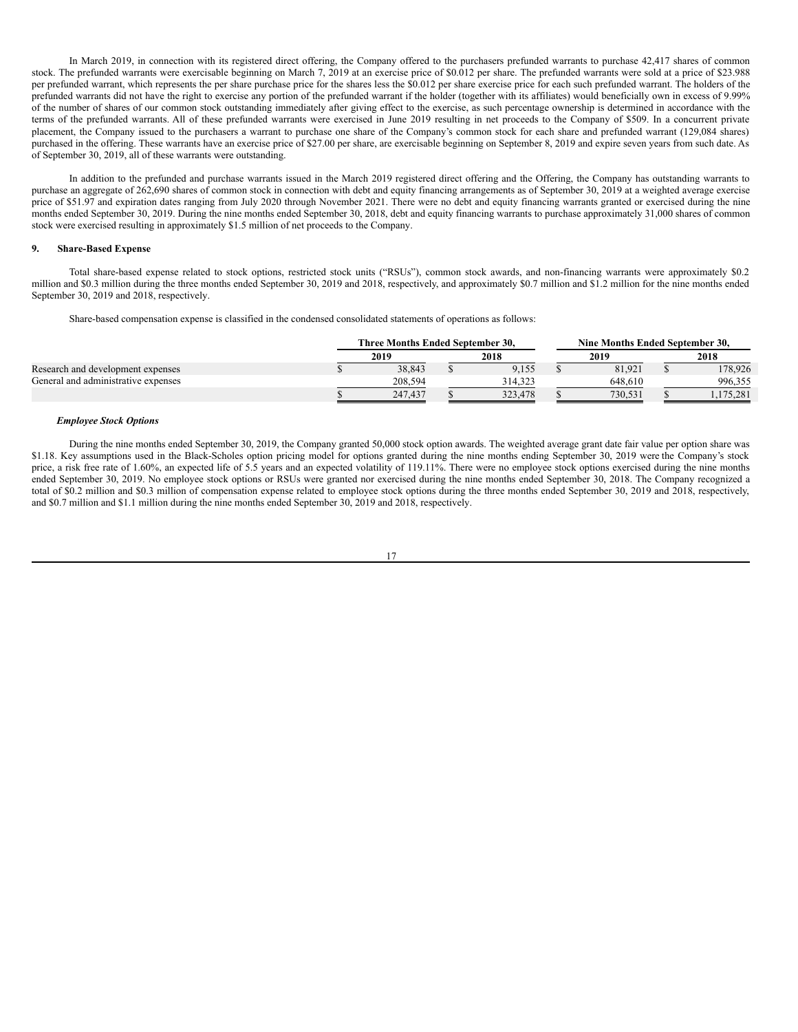In March 2019, in connection with its registered direct offering, the Company offered to the purchasers prefunded warrants to purchase 42,417 shares of common stock. The prefunded warrants were exercisable beginning on March 7, 2019 at an exercise price of \$0.012 per share. The prefunded warrants were sold at a price of \$23.988 per prefunded warrant, which represents the per share purchase price for the shares less the \$0.012 per share exercise price for each such prefunded warrant. The holders of the prefunded warrants did not have the right to exercise any portion of the prefunded warrant if the holder (together with its affiliates) would beneficially own in excess of 9.99% of the number of shares of our common stock outstanding immediately after giving effect to the exercise, as such percentage ownership is determined in accordance with the terms of the prefunded warrants. All of these prefunded warrants were exercised in June 2019 resulting in net proceeds to the Company of \$509. In a concurrent private placement, the Company issued to the purchasers a warrant to purchase one share of the Company's common stock for each share and prefunded warrant (129,084 shares) purchased in the offering. These warrants have an exercise price of \$27.00 per share, are exercisable beginning on September 8, 2019 and expire seven years from such date. As of September 30, 2019, all of these warrants were outstanding.

In addition to the prefunded and purchase warrants issued in the March 2019 registered direct offering and the Offering, the Company has outstanding warrants to purchase an aggregate of 262,690 shares of common stock in connection with debt and equity financing arrangements as of September 30, 2019 at a weighted average exercise price of \$51.97 and expiration dates ranging from July 2020 through November 2021. There were no debt and equity financing warrants granted or exercised during the nine months ended September 30, 2019. During the nine months ended September 30, 2018, debt and equity financing warrants to purchase approximately 31,000 shares of common stock were exercised resulting in approximately \$1.5 million of net proceeds to the Company.

### **9. Share-Based Expense**

Total share-based expense related to stock options, restricted stock units ("RSUs"), common stock awards, and non-financing warrants were approximately \$0.2 million and \$0.3 million during the three months ended September 30, 2019 and 2018, respectively, and approximately \$0.7 million and \$1.2 million for the nine months ended September 30, 2019 and 2018, respectively.

Share-based compensation expense is classified in the condensed consolidated statements of operations as follows:

|                                     | Three Months Ended September 30. |  |         | Nine Months Ended September 30. |  |         |
|-------------------------------------|----------------------------------|--|---------|---------------------------------|--|---------|
|                                     | 2019                             |  | 2018    | 2019                            |  | 2018    |
| Research and development expenses   | 38.843                           |  | 9.155   | 81.921                          |  | 178,926 |
| General and administrative expenses | 208,594                          |  | 314.323 | 648.610                         |  | 996,355 |
|                                     | 247,437                          |  | 323,478 | 730.531                         |  | 175.281 |

# *Employee Stock Options*

During the nine months ended September 30, 2019, the Company granted 50,000 stock option awards. The weighted average grant date fair value per option share was \$1.18. Key assumptions used in the Black-Scholes option pricing model for options granted during the nine months ending September 30, 2019 were the Company's stock price, a risk free rate of 1.60%, an expected life of 5.5 years and an expected volatility of 119.11%. There were no employee stock options exercised during the nine months ended September 30, 2019. No employee stock options or RSUs were granted nor exercised during the nine months ended September 30, 2018. The Company recognized a total of \$0.2 million and \$0.3 million of compensation expense related to employee stock options during the three months ended September 30, 2019 and 2018, respectively, and \$0.7 million and \$1.1 million during the nine months ended September 30, 2019 and 2018, respectively.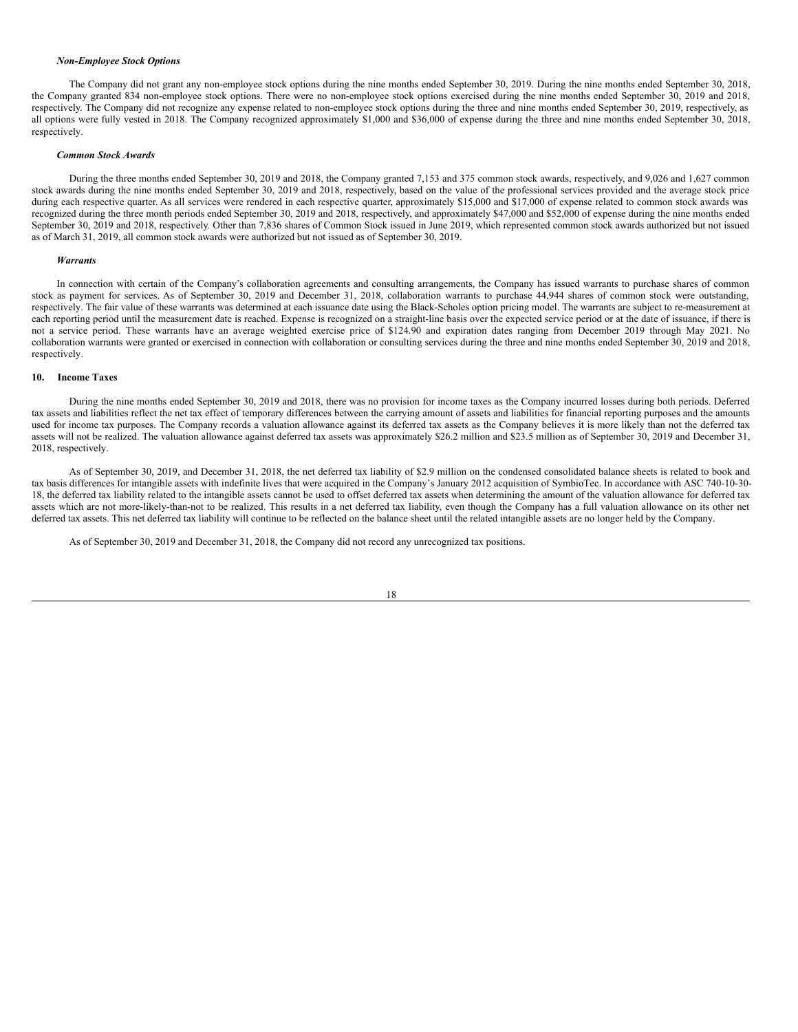#### *Non-Employee Stock Options*

The Company did not grant any non-employee stock options during the nine months ended September 30, 2019. During the nine months ended September 30, 2018, the Company granted 834 non-employee stock options. There were no non-employee stock options exercised during the nine months ended September 30, 2019 and 2018, respectively. The Company did not recognize any expense related to non-employee stock options during the three and nine months ended September 30, 2019, respectively, as all options were fully vested in 2018. The Company recognized approximately \$1,000 and \$36,000 of expense during the three and nine months ended September 30, 2018, respectively.

#### *Common Stock Awards*

During the three months ended September 30, 2019 and 2018, the Company granted 7,153 and 375 common stock awards, respectively, and 9,026 and 1,627 common stock awards during the nine months ended September 30, 2019 and 2018, respectively, based on the value of the professional services provided and the average stock price during each respective quarter. As all services were rendered in each respective quarter, approximately \$15,000 and \$17,000 of expense related to common stock awards was recognized during the three month periods ended September 30, 2019 and 2018, respectively, and approximately \$47,000 and \$52,000 of expense during the nine months ended September 30, 2019 and 2018, respectively. Other than 7,836 shares of Common Stock issued in June 2019, which represented common stock awards authorized but not issued as of March 31, 2019, all common stock awards were authorized but not issued as of September 30, 2019.

#### *Warrants*

In connection with certain of the Company's collaboration agreements and consulting arrangements, the Company has issued warrants to purchase shares of common stock as payment for services. As of September 30, 2019 and December 31, 2018, collaboration warrants to purchase 44,944 shares of common stock were outstanding, respectively. The fair value of these warrants was determined at each issuance date using the Black-Scholes option pricing model. The warrants are subject to re-measurement at each reporting period until the measurement date is reached. Expense is recognized on a straight-line basis over the expected service period or at the date of issuance, if there is not a service period. These warrants have an average weighted exercise price of \$124.90 and expiration dates ranging from December 2019 through May 2021. No collaboration warrants were granted or exercised in connection with collaboration or consulting services during the three and nine months ended September 30, 2019 and 2018, respectively.

### **10. Income Taxes**

During the nine months ended September 30, 2019 and 2018, there was no provision for income taxes as the Company incurred losses during both periods. Deferred tax assets and liabilities reflect the net tax effect of temporary differences between the carrying amount of assets and liabilities for financial reporting purposes and the amounts used for income tax purposes. The Company records a valuation allowance against its deferred tax assets as the Company believes it is more likely than not the deferred tax assets will not be realized. The valuation allowance against deferred tax assets was approximately \$26.2 million and \$23.5 million as of September 30, 2019 and December 31, 2018, respectively.

As of September 30, 2019, and December 31, 2018, the net deferred tax liability of \$2.9 million on the condensed consolidated balance sheets is related to book and tax basis differences for intangible assets with indefinite lives that were acquired in the Company's January 2012 acquisition of SymbioTec. In accordance with ASC 740-10-30- 18, the deferred tax liability related to the intangible assets cannot be used to offset deferred tax assets when determining the amount of the valuation allowance for deferred tax assets which are not more-likely-than-not to be realized. This results in a net deferred tax liability, even though the Company has a full valuation allowance on its other net deferred tax assets. This net deferred tax liability will continue to be reflected on the balance sheet until the related intangible assets are no longer held by the Company.

As of September 30, 2019 and December 31, 2018, the Company did not record any unrecognized tax positions.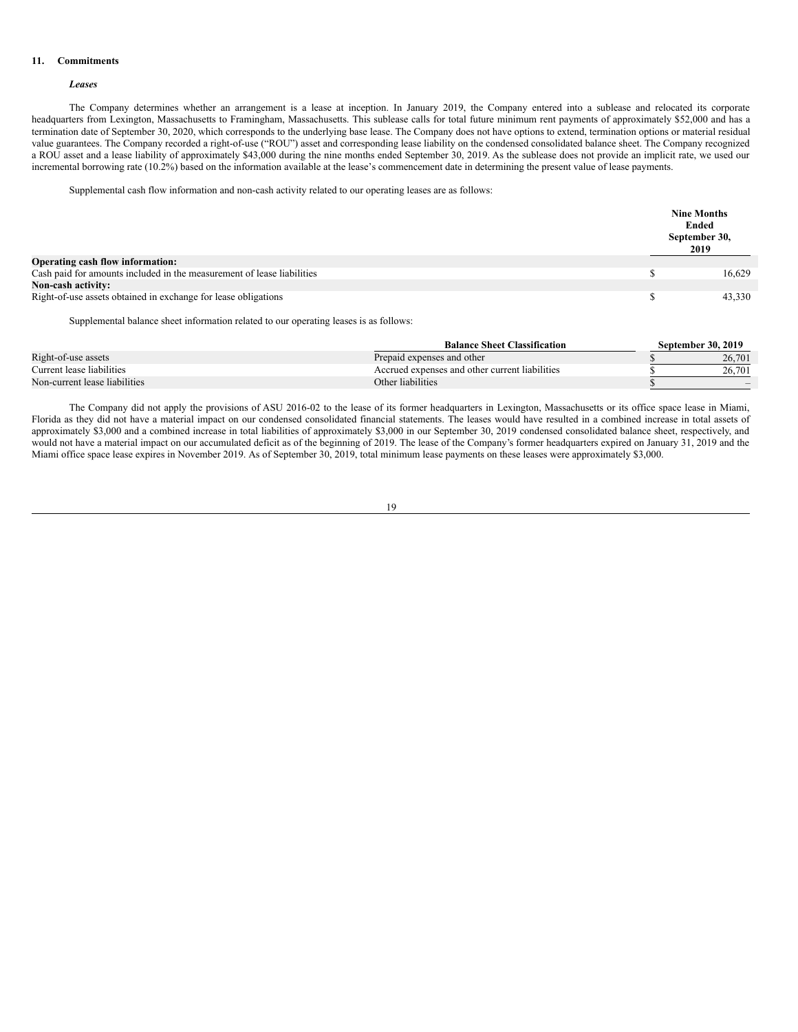#### **11. Commitments**

### *Leases*

The Company determines whether an arrangement is a lease at inception. In January 2019, the Company entered into a sublease and relocated its corporate headquarters from Lexington, Massachusetts to Framingham, Massachusetts. This sublease calls for total future minimum rent payments of approximately \$52,000 and has a termination date of September 30, 2020, which corresponds to the underlying base lease. The Company does not have options to extend, termination options or material residual value guarantees. The Company recorded a right-of-use ("ROU") asset and corresponding lease liability on the condensed consolidated balance sheet. The Company recognized a ROU asset and a lease liability of approximately \$43,000 during the nine months ended September 30, 2019. As the sublease does not provide an implicit rate, we used our incremental borrowing rate (10.2%) based on the information available at the lease's commencement date in determining the present value of lease payments.

Supplemental cash flow information and non-cash activity related to our operating leases are as follows:

|                                                                        | <b>Nine Months</b><br>Ended<br>September 30,<br>2019 |
|------------------------------------------------------------------------|------------------------------------------------------|
| <b>Operating cash flow information:</b>                                |                                                      |
| Cash paid for amounts included in the measurement of lease liabilities | 16.629                                               |
| <b>Non-cash activity:</b>                                              |                                                      |
| Right-of-use assets obtained in exchange for lease obligations         | 43,330                                               |

Supplemental balance sheet information related to our operating leases is as follows:

|                               | <b>Balance Sheet Classification</b>            | <b>September 30, 2019</b> |
|-------------------------------|------------------------------------------------|---------------------------|
| Right-of-use assets           | Prepaid expenses and other                     | 26,701                    |
| Current lease liabilities     | Accrued expenses and other current liabilities | 26.701                    |
| Non-current lease liabilities | Other liabilities                              | $\overline{\phantom{a}}$  |

The Company did not apply the provisions of ASU 2016-02 to the lease of its former headquarters in Lexington, Massachusetts or its office space lease in Miami, Florida as they did not have a material impact on our condensed consolidated financial statements. The leases would have resulted in a combined increase in total assets of approximately \$3,000 and a combined increase in total liabilities of approximately \$3,000 in our September 30, 2019 condensed consolidated balance sheet, respectively, and would not have a material impact on our accumulated deficit as of the beginning of 2019. The lease of the Company's former headquarters expired on January 31, 2019 and the Miami office space lease expires in November 2019. As of September 30, 2019, total minimum lease payments on these leases were approximately \$3,000.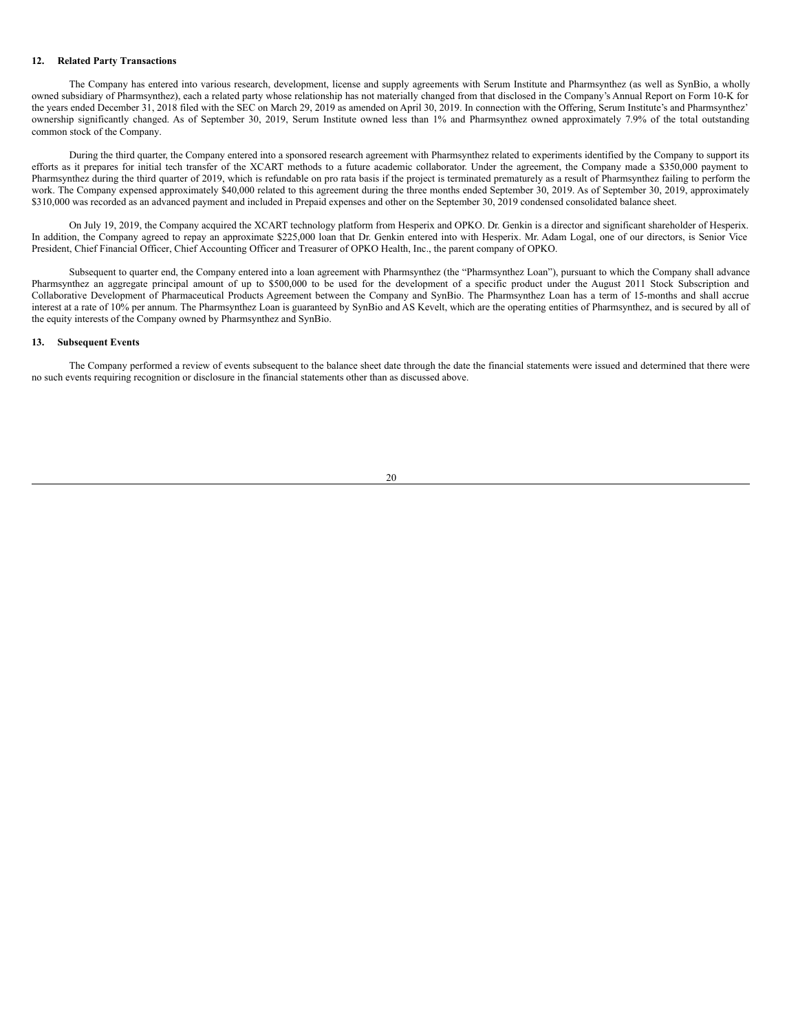#### **12. Related Party Transactions**

The Company has entered into various research, development, license and supply agreements with Serum Institute and Pharmsynthez (as well as SynBio, a wholly owned subsidiary of Pharmsynthez), each a related party whose relationship has not materially changed from that disclosed in the Company's Annual Report on Form 10-K for the years ended December 31, 2018 filed with the SEC on March 29, 2019 as amended on April 30, 2019. In connection with the Offering, Serum Institute's and Pharmsynthez' ownership significantly changed. As of September 30, 2019, Serum Institute owned less than 1% and Pharmsynthez owned approximately 7.9% of the total outstanding common stock of the Company.

During the third quarter, the Company entered into a sponsored research agreement with Pharmsynthez related to experiments identified by the Company to support its efforts as it prepares for initial tech transfer of the XCART methods to a future academic collaborator. Under the agreement, the Company made a \$350,000 payment to Pharmsynthez during the third quarter of 2019, which is refundable on pro rata basis if the project is terminated prematurely as a result of Pharmsynthez failing to perform the work. The Company expensed approximately \$40,000 related to this agreement during the three months ended September 30, 2019. As of September 30, 2019, approximately \$310,000 was recorded as an advanced payment and included in Prepaid expenses and other on the September 30, 2019 condensed consolidated balance sheet.

On July 19, 2019, the Company acquired the XCART technology platform from Hesperix and OPKO. Dr. Genkin is a director and significant shareholder of Hesperix. In addition, the Company agreed to repay an approximate \$225,000 loan that Dr. Genkin entered into with Hesperix. Mr. Adam Logal, one of our directors, is Senior Vice President, Chief Financial Officer, Chief Accounting Officer and Treasurer of OPKO Health, Inc., the parent company of OPKO.

Subsequent to quarter end, the Company entered into a loan agreement with Pharmsynthez (the "Pharmsynthez Loan"), pursuant to which the Company shall advance Pharmsynthez an aggregate principal amount of up to \$500,000 to be used for the development of a specific product under the August 2011 Stock Subscription and Collaborative Development of Pharmaceutical Products Agreement between the Company and SynBio. The Pharmsynthez Loan has a term of 15-months and shall accrue interest at a rate of 10% per annum. The Pharmsynthez Loan is guaranteed by SynBio and AS Kevelt, which are the operating entities of Pharmsynthez, and is secured by all of the equity interests of the Company owned by Pharmsynthez and SynBio.

# **13. Subsequent Events**

The Company performed a review of events subsequent to the balance sheet date through the date the financial statements were issued and determined that there were no such events requiring recognition or disclosure in the financial statements other than as discussed above.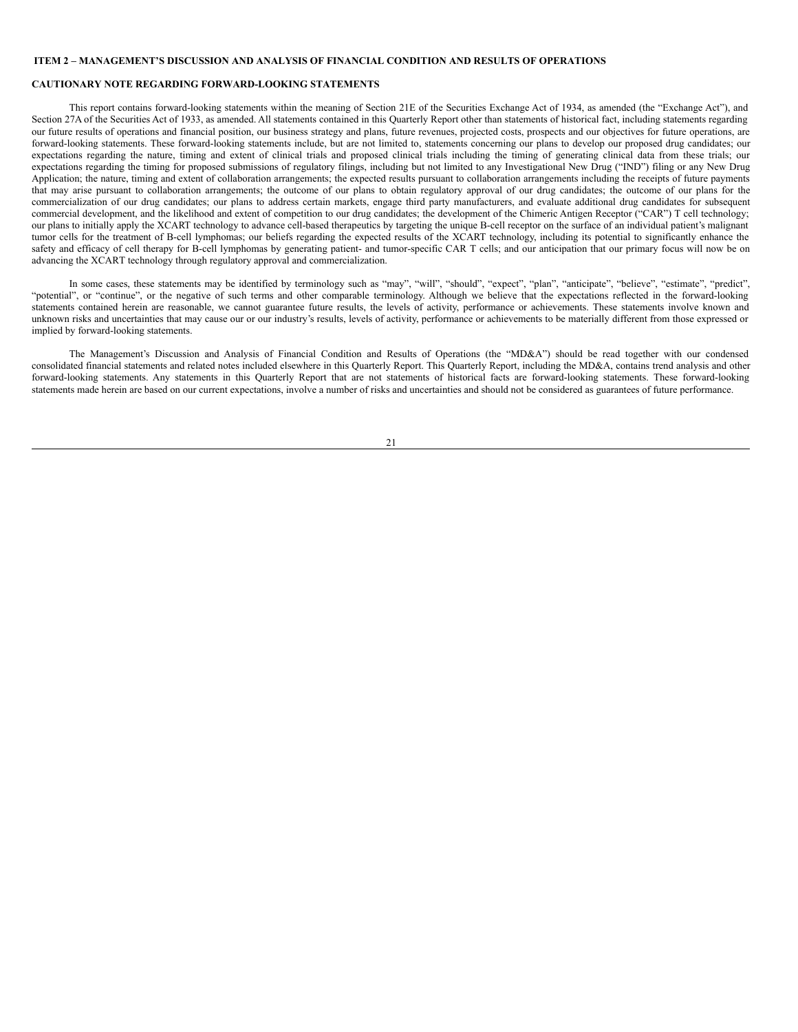### <span id="page-20-0"></span>**ITEM 2 – MANAGEMENT'S DISCUSSION AND ANALYSIS OF FINANCIAL CONDITION AND RESULTS OF OPERATIONS**

# **CAUTIONARY NOTE REGARDING FORWARD-LOOKING STATEMENTS**

This report contains forward-looking statements within the meaning of Section 21E of the Securities Exchange Act of 1934, as amended (the "Exchange Act"), and Section 27A of the Securities Act of 1933, as amended. All statements contained in this Quarterly Report other than statements of historical fact, including statements regarding our future results of operations and financial position, our business strategy and plans, future revenues, projected costs, prospects and our objectives for future operations, are forward-looking statements. These forward-looking statements include, but are not limited to, statements concerning our plans to develop our proposed drug candidates; our expectations regarding the nature, timing and extent of clinical trials and proposed clinical trials including the timing of generating clinical data from these trials; our expectations regarding the timing for proposed submissions of regulatory filings, including but not limited to any Investigational New Drug ("IND") filing or any New Drug Application; the nature, timing and extent of collaboration arrangements; the expected results pursuant to collaboration arrangements including the receipts of future payments that may arise pursuant to collaboration arrangements; the outcome of our plans to obtain regulatory approval of our drug candidates; the outcome of our plans for the commercialization of our drug candidates; our plans to address certain markets, engage third party manufacturers, and evaluate additional drug candidates for subsequent commercial development, and the likelihood and extent of competition to our drug candidates; the development of the Chimeric Antigen Receptor ("CAR") T cell technology; our plans to initially apply the XCART technology to advance cell-based therapeutics by targeting the unique B-cell receptor on the surface of an individual patient's malignant tumor cells for the treatment of B-cell lymphomas; our beliefs regarding the expected results of the XCART technology, including its potential to significantly enhance the safety and efficacy of cell therapy for B-cell lymphomas by generating patient- and tumor-specific CAR T cells; and our anticipation that our primary focus will now be on advancing the XCART technology through regulatory approval and commercialization.

In some cases, these statements may be identified by terminology such as "may", "will", "should", "expect", "plan", "anticipate", "believe", "estimate", "predict", "potential", or "continue", or the negative of such terms and other comparable terminology. Although we believe that the expectations reflected in the forward-looking statements contained herein are reasonable, we cannot guarantee future results, the levels of activity, performance or achievements. These statements involve known and unknown risks and uncertainties that may cause our or our industry's results, levels of activity, performance or achievements to be materially different from those expressed or implied by forward-looking statements.

The Management's Discussion and Analysis of Financial Condition and Results of Operations (the "MD&A") should be read together with our condensed consolidated financial statements and related notes included elsewhere in this Quarterly Report. This Quarterly Report, including the MD&A, contains trend analysis and other forward-looking statements. Any statements in this Quarterly Report that are not statements of historical facts are forward-looking statements. These forward-looking statements made herein are based on our current expectations, involve a number of risks and uncertainties and should not be considered as guarantees of future performance.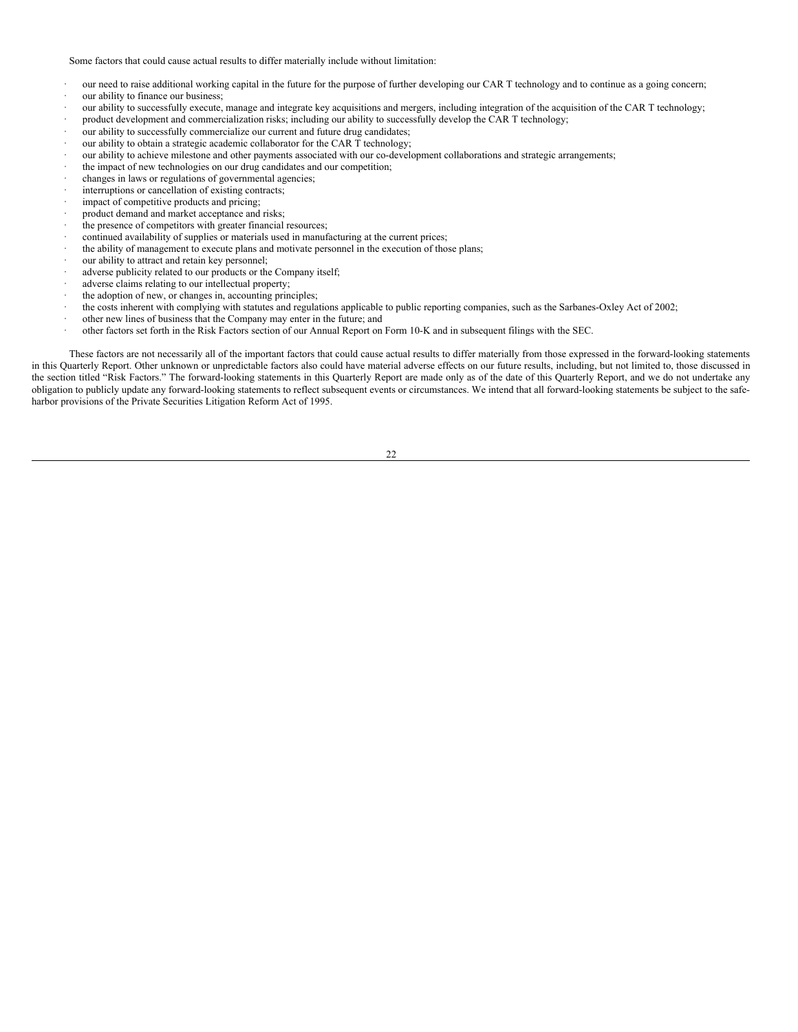Some factors that could cause actual results to differ materially include without limitation:

- our need to raise additional working capital in the future for the purpose of further developing our CAR T technology and to continue as a going concern; our ability to finance our business;
- · our ability to successfully execute, manage and integrate key acquisitions and mergers, including integration of the acquisition of the CAR T technology;
- · product development and commercialization risks; including our ability to successfully develop the CAR T technology;
- · our ability to successfully commercialize our current and future drug candidates;
- our ability to obtain a strategic academic collaborator for the CAR T technology;
- our ability to achieve milestone and other payments associated with our co-development collaborations and strategic arrangements;
- the impact of new technologies on our drug candidates and our competition;
- changes in laws or regulations of governmental agencies;
- interruptions or cancellation of existing contracts;
- impact of competitive products and pricing;
- product demand and market acceptance and risks;
- the presence of competitors with greater financial resources;
- continued availability of supplies or materials used in manufacturing at the current prices;
- the ability of management to execute plans and motivate personnel in the execution of those plans;
- our ability to attract and retain key personnel;
- adverse publicity related to our products or the Company itself;
- adverse claims relating to our intellectual property;
- the adoption of new, or changes in, accounting principles;
- · the costs inherent with complying with statutes and regulations applicable to public reporting companies, such as the Sarbanes-Oxley Act of 2002;
- other new lines of business that the Company may enter in the future; and
- · other factors set forth in the Risk Factors section of our Annual Report on Form 10-K and in subsequent filings with the SEC.

These factors are not necessarily all of the important factors that could cause actual results to differ materially from those expressed in the forward-looking statements in this Quarterly Report. Other unknown or unpredictable factors also could have material adverse effects on our future results, including, but not limited to, those discussed in the section titled "Risk Factors." The forward-looking statements in this Quarterly Report are made only as of the date of this Quarterly Report, and we do not undertake any obligation to publicly update any forward-looking statements to reflect subsequent events or circumstances. We intend that all forward-looking statements be subject to the safeharbor provisions of the Private Securities Litigation Reform Act of 1995.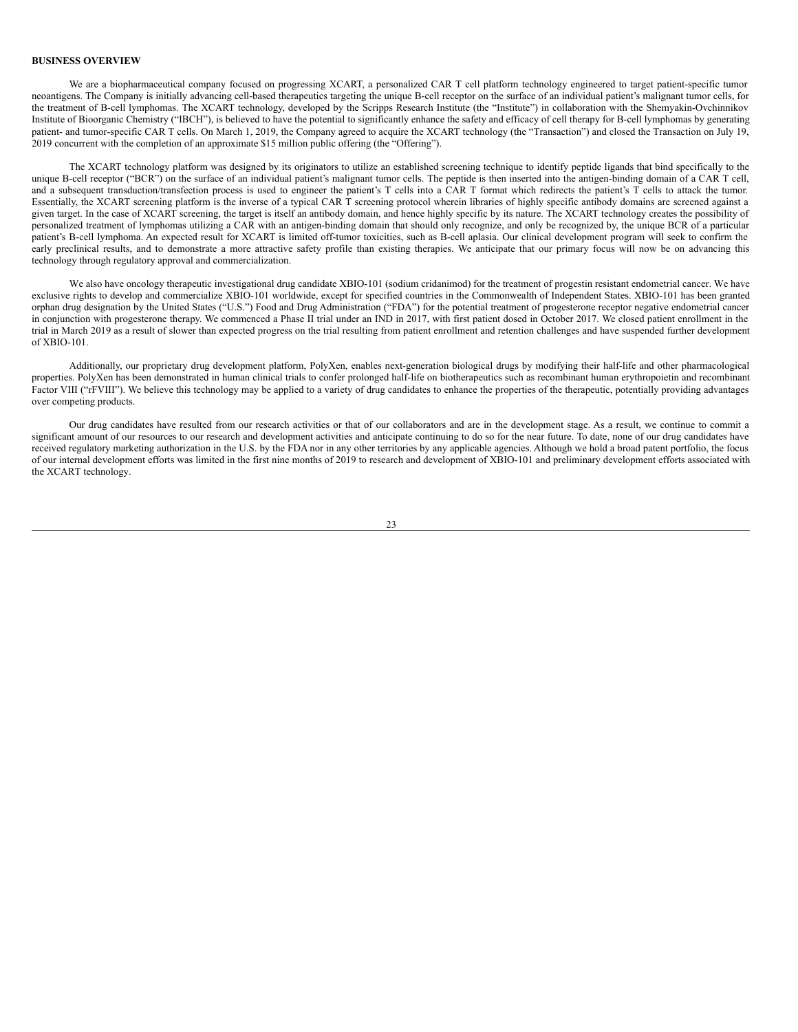### **BUSINESS OVERVIEW**

We are a biopharmaceutical company focused on progressing XCART, a personalized CAR T cell platform technology engineered to target patient-specific tumor neoantigens. The Company is initially advancing cell-based therapeutics targeting the unique B-cell receptor on the surface of an individual patient's malignant tumor cells, for the treatment of B-cell lymphomas. The XCART technology, developed by the Scripps Research Institute (the "Institute") in collaboration with the Shemyakin-Ovchinnikov Institute of Bioorganic Chemistry ("IBCH"), is believed to have the potential to significantly enhance the safety and efficacy of cell therapy for B-cell lymphomas by generating patient- and tumor-specific CAR T cells. On March 1, 2019, the Company agreed to acquire the XCART technology (the "Transaction") and closed the Transaction on July 19, 2019 concurrent with the completion of an approximate \$15 million public offering (the "Offering").

The XCART technology platform was designed by its originators to utilize an established screening technique to identify peptide ligands that bind specifically to the unique B-cell receptor ("BCR") on the surface of an individual patient's malignant tumor cells. The peptide is then inserted into the antigen-binding domain of a CAR T cell, and a subsequent transduction/transfection process is used to engineer the patient's T cells into a CAR T format which redirects the patient's T cells to attack the tumor. Essentially, the XCART screening platform is the inverse of a typical CAR T screening protocol wherein libraries of highly specific antibody domains are screened against a given target. In the case of XCART screening, the target is itself an antibody domain, and hence highly specific by its nature. The XCART technology creates the possibility of personalized treatment of lymphomas utilizing a CAR with an antigen-binding domain that should only recognize, and only be recognized by, the unique BCR of a particular patient's B-cell lymphoma. An expected result for XCART is limited off-tumor toxicities, such as B-cell aplasia. Our clinical development program will seek to confirm the early preclinical results, and to demonstrate a more attractive safety profile than existing therapies. We anticipate that our primary focus will now be on advancing this technology through regulatory approval and commercialization.

We also have oncology therapeutic investigational drug candidate XBIO-101 (sodium cridanimod) for the treatment of progestin resistant endometrial cancer. We have exclusive rights to develop and commercialize XBIO-101 worldwide, except for specified countries in the Commonwealth of Independent States. XBIO-101 has been granted orphan drug designation by the United States ("U.S.") Food and Drug Administration ("FDA") for the potential treatment of progesterone receptor negative endometrial cancer in conjunction with progesterone therapy. We commenced a Phase II trial under an IND in 2017, with first patient dosed in October 2017. We closed patient enrollment in the trial in March 2019 as a result of slower than expected progress on the trial resulting from patient enrollment and retention challenges and have suspended further development of XBIO-101.

Additionally, our proprietary drug development platform, PolyXen, enables next-generation biological drugs by modifying their half-life and other pharmacological properties. PolyXen has been demonstrated in human clinical trials to confer prolonged half-life on biotherapeutics such as recombinant human erythropoietin and recombinant Factor VIII ("rFVIII"). We believe this technology may be applied to a variety of drug candidates to enhance the properties of the therapeutic, potentially providing advantages over competing products.

Our drug candidates have resulted from our research activities or that of our collaborators and are in the development stage. As a result, we continue to commit a significant amount of our resources to our research and development activities and anticipate continuing to do so for the near future. To date, none of our drug candidates have received regulatory marketing authorization in the U.S. by the FDA nor in any other territories by any applicable agencies. Although we hold a broad patent portfolio, the focus of our internal development efforts was limited in the first nine months of 2019 to research and development of XBIO-101 and preliminary development efforts associated with the XCART technology.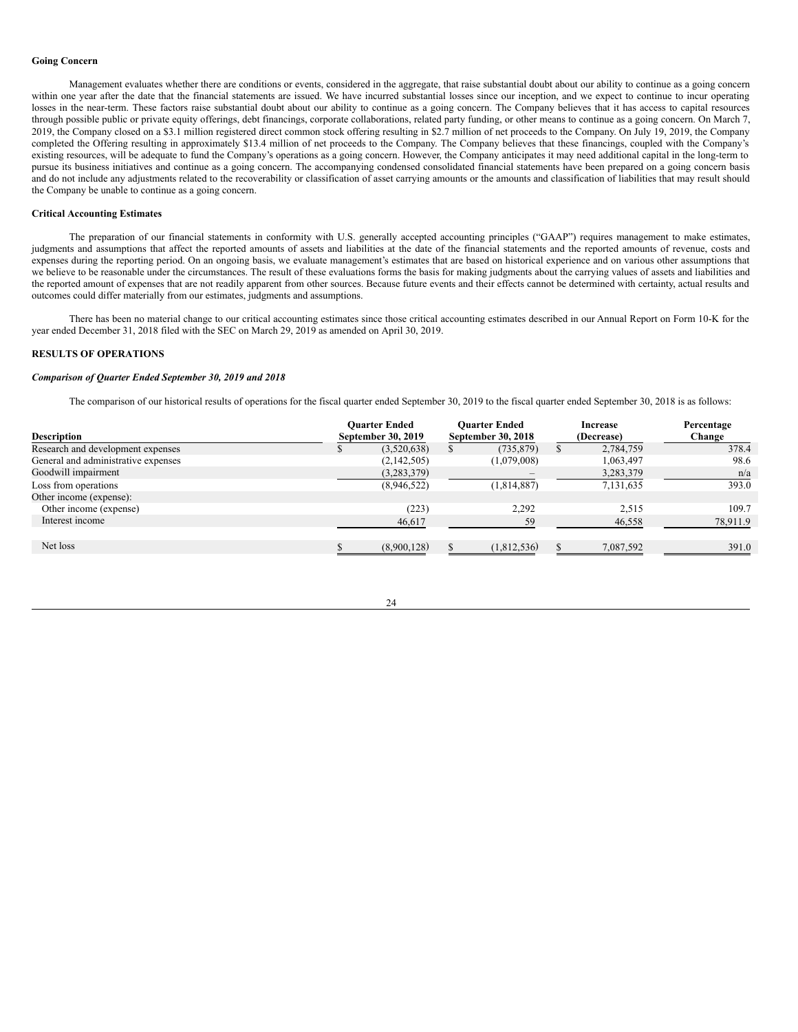#### **Going Concern**

Management evaluates whether there are conditions or events, considered in the aggregate, that raise substantial doubt about our ability to continue as a going concern within one year after the date that the financial statements are issued. We have incurred substantial losses since our inception, and we expect to continue to incur operating losses in the near-term. These factors raise substantial doubt about our ability to continue as a going concern. The Company believes that it has access to capital resources through possible public or private equity offerings, debt financings, corporate collaborations, related party funding, or other means to continue as a going concern. On March 7, 2019, the Company closed on a \$3.1 million registered direct common stock offering resulting in \$2.7 million of net proceeds to the Company. On July 19, 2019, the Company completed the Offering resulting in approximately \$13.4 million of net proceeds to the Company. The Company believes that these financings, coupled with the Company's existing resources, will be adequate to fund the Company's operations as a going concern. However, the Company anticipates it may need additional capital in the long-term to pursue its business initiatives and continue as a going concern. The accompanying condensed consolidated financial statements have been prepared on a going concern basis and do not include any adjustments related to the recoverability or classification of asset carrying amounts or the amounts and classification of liabilities that may result should the Company be unable to continue as a going concern.

### **Critical Accounting Estimates**

The preparation of our financial statements in conformity with U.S. generally accepted accounting principles ("GAAP") requires management to make estimates, judgments and assumptions that affect the reported amounts of assets and liabilities at the date of the financial statements and the reported amounts of revenue, costs and expenses during the reporting period. On an ongoing basis, we evaluate management's estimates that are based on historical experience and on various other assumptions that we believe to be reasonable under the circumstances. The result of these evaluations forms the basis for making judgments about the carrying values of assets and liabilities and the reported amount of expenses that are not readily apparent from other sources. Because future events and their effects cannot be determined with certainty, actual results and outcomes could differ materially from our estimates, judgments and assumptions.

There has been no material change to our critical accounting estimates since those critical accounting estimates described in our Annual Report on Form 10-K for the year ended December 31, 2018 filed with the SEC on March 29, 2019 as amended on April 30, 2019.

### **RESULTS OF OPERATIONS**

### *Comparison of Quarter Ended September 30, 2019 and 2018*

The comparison of our historical results of operations for the fiscal quarter ended September 30, 2019 to the fiscal quarter ended September 30, 2018 is as follows:

|                                     | <b>Ouarter Ended</b> | <b>Ouarter Ended</b> | Increase   | Percentage |
|-------------------------------------|----------------------|----------------------|------------|------------|
| <b>Description</b>                  | September 30, 2019   | September 30, 2018   | (Decrease) | Change     |
| Research and development expenses   | (3,520,638)          | (735, 879)           | 2,784,759  | 378.4      |
| General and administrative expenses | (2,142,505)          | (1,079,008)          | 1,063,497  | 98.6       |
| Goodwill impairment                 | (3,283,379)          |                      | 3,283,379  | n/a        |
| Loss from operations                | (8,946,522)          | (1,814,887)          | 7,131,635  | 393.0      |
| Other income (expense):             |                      |                      |            |            |
| Other income (expense)              | (223)                | 2,292                | 2,515      | 109.7      |
| Interest income                     | 46,617               | 59                   | 46,558     | 78,911.9   |
|                                     |                      |                      |            |            |
| Net loss                            | (8,900,128)          | (1.812.536)          | 7,087,592  | 391.0      |
|                                     |                      |                      |            |            |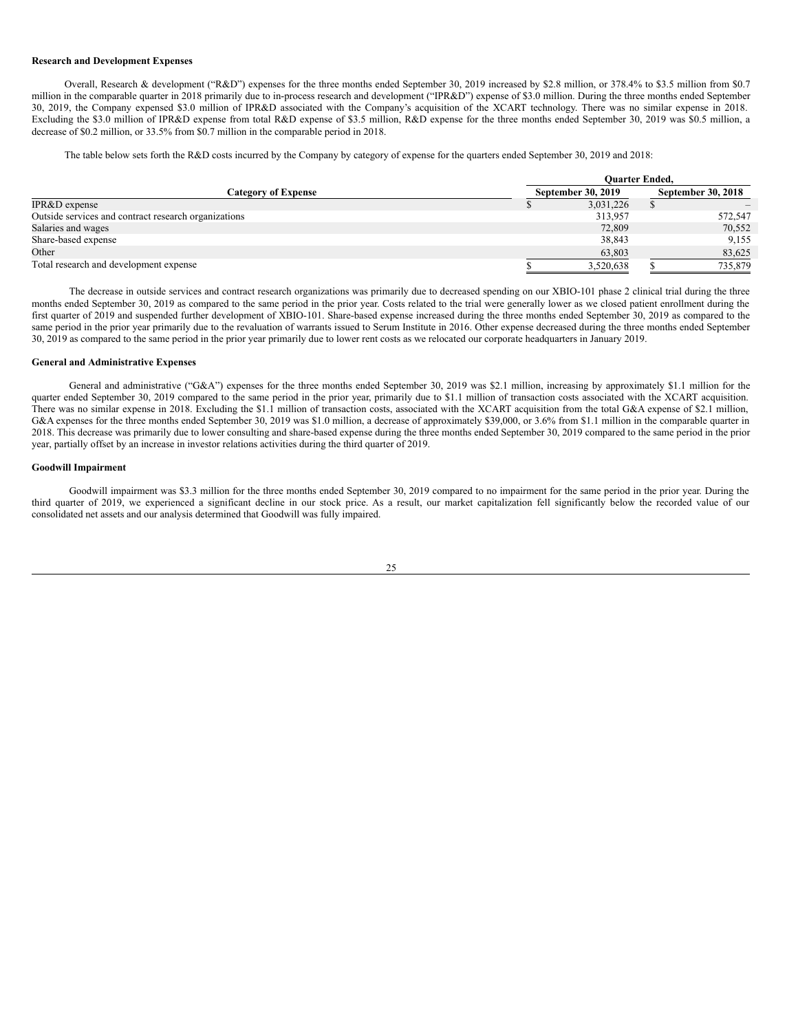#### **Research and Development Expenses**

Overall, Research & development ("R&D") expenses for the three months ended September 30, 2019 increased by \$2.8 million, or 378.4% to \$3.5 million from \$0.7 million in the comparable quarter in 2018 primarily due to in-process research and development ("IPR&D") expense of \$3.0 million. During the three months ended September 30, 2019, the Company expensed \$3.0 million of IPR&D associated with the Company's acquisition of the XCART technology. There was no similar expense in 2018. Excluding the \$3.0 million of IPR&D expense from total R&D expense of \$3.5 million, R&D expense for the three months ended September 30, 2019 was \$0.5 million, a decrease of \$0.2 million, or 33.5% from \$0.7 million in the comparable period in 2018.

The table below sets forth the R&D costs incurred by the Company by category of expense for the quarters ended September 30, 2019 and 2018:

|                                                      | <b>Ouarter Ended,</b> |           |                    |         |  |  |
|------------------------------------------------------|-----------------------|-----------|--------------------|---------|--|--|
| <b>Category of Expense</b>                           | September 30, 2019    |           | September 30, 2018 |         |  |  |
| IPR&D expense                                        |                       | 3,031,226 |                    |         |  |  |
| Outside services and contract research organizations |                       | 313,957   |                    | 572,547 |  |  |
| Salaries and wages                                   |                       | 72,809    |                    | 70,552  |  |  |
| Share-based expense                                  |                       | 38,843    |                    | 9,155   |  |  |
| Other                                                |                       | 63,803    |                    | 83,625  |  |  |
| Total research and development expense               |                       | 3,520,638 |                    | 735,879 |  |  |

The decrease in outside services and contract research organizations was primarily due to decreased spending on our XBIO-101 phase 2 clinical trial during the three months ended September 30, 2019 as compared to the same period in the prior year. Costs related to the trial were generally lower as we closed patient enrollment during the first quarter of 2019 and suspended further development of XBIO-101. Share-based expense increased during the three months ended September 30, 2019 as compared to the same period in the prior year primarily due to the revaluation of warrants issued to Serum Institute in 2016. Other expense decreased during the three months ended September 30, 2019 as compared to the same period in the prior year primarily due to lower rent costs as we relocated our corporate headquarters in January 2019.

# **General and Administrative Expenses**

General and administrative ("G&A") expenses for the three months ended September 30, 2019 was \$2.1 million, increasing by approximately \$1.1 million for the quarter ended September 30, 2019 compared to the same period in the prior year, primarily due to \$1.1 million of transaction costs associated with the XCART acquisition. There was no similar expense in 2018. Excluding the \$1.1 million of transaction costs, associated with the XCART acquisition from the total G&A expense of \$2.1 million, G&A expenses for the three months ended September 30, 2019 was \$1.0 million, a decrease of approximately \$39,000, or 3.6% from \$1.1 million in the comparable quarter in 2018. This decrease was primarily due to lower consulting and share-based expense during the three months ended September 30, 2019 compared to the same period in the prior year, partially offset by an increase in investor relations activities during the third quarter of 2019.

### **Goodwill Impairment**

Goodwill impairment was \$3.3 million for the three months ended September 30, 2019 compared to no impairment for the same period in the prior year. During the third quarter of 2019, we experienced a significant decline in our stock price. As a result, our market capitalization fell significantly below the recorded value of our consolidated net assets and our analysis determined that Goodwill was fully impaired.

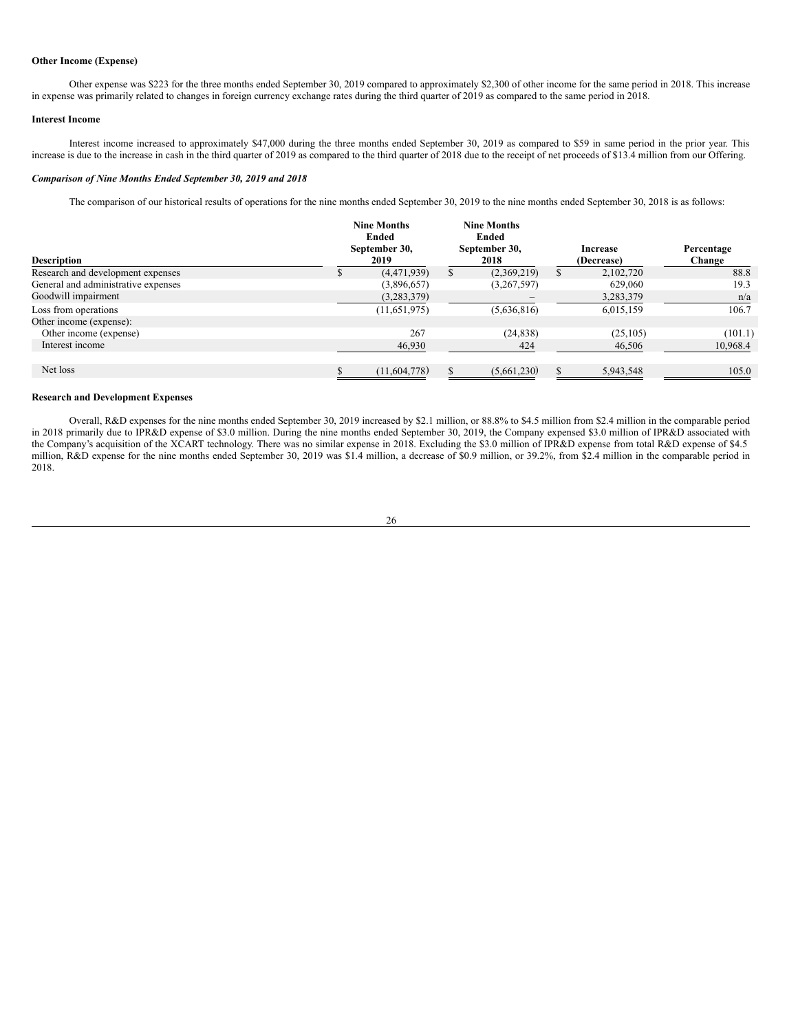### **Other Income (Expense)**

Other expense was \$223 for the three months ended September 30, 2019 compared to approximately \$2,300 of other income for the same period in 2018. This increase in expense was primarily related to changes in foreign currency exchange rates during the third quarter of 2019 as compared to the same period in 2018.

### **Interest Income**

Interest income increased to approximately \$47,000 during the three months ended September 30, 2019 as compared to \$59 in same period in the prior year. This increase is due to the increase in cash in the third quarter of 2019 as compared to the third quarter of 2018 due to the receipt of net proceeds of \$13.4 million from our Offering.

### *Comparison of Nine Months Ended September 30, 2019 and 2018*

The comparison of our historical results of operations for the nine months ended September 30, 2019 to the nine months ended September 30, 2018 is as follows:

| <b>Description</b>                  | <b>Nine Months</b><br>Ended<br>September 30,<br>2019 | <b>Nine Months</b><br><b>Ended</b><br>September 30,<br>2018 | Increase<br>(Decrease) | Percentage<br>Change |
|-------------------------------------|------------------------------------------------------|-------------------------------------------------------------|------------------------|----------------------|
| Research and development expenses   | (4, 471, 939)                                        | (2,369,219)                                                 | 2,102,720              | 88.8                 |
| General and administrative expenses | (3,896,657)                                          | (3,267,597)                                                 | 629,060                | 19.3                 |
| Goodwill impairment                 | (3,283,379)                                          |                                                             | 3,283,379              | n/a                  |
| Loss from operations                | (11,651,975)                                         | (5,636,816)                                                 | 6,015,159              | 106.7                |
| Other income (expense):             |                                                      |                                                             |                        |                      |
| Other income (expense)              | 267                                                  | (24, 838)                                                   | (25, 105)              | (101.1)              |
| Interest income                     | 46,930                                               | 424                                                         | 46,506                 | 10,968.4             |
| Net loss                            | (11,604,778)                                         | (5,661,230)                                                 | 5,943,548              | 105.0                |

## **Research and Development Expenses**

Overall, R&D expenses for the nine months ended September 30, 2019 increased by \$2.1 million, or 88.8% to \$4.5 million from \$2.4 million in the comparable period in 2018 primarily due to IPR&D expense of \$3.0 million. During the nine months ended September 30, 2019, the Company expensed \$3.0 million of IPR&D associated with the Company's acquisition of the XCART technology. There was no similar expense in 2018. Excluding the \$3.0 million of IPR&D expense from total R&D expense of \$4.5 million, R&D expense for the nine months ended September 30, 2019 was \$1.4 million, a decrease of \$0.9 million, or 39.2%, from \$2.4 million in the comparable period in 2018.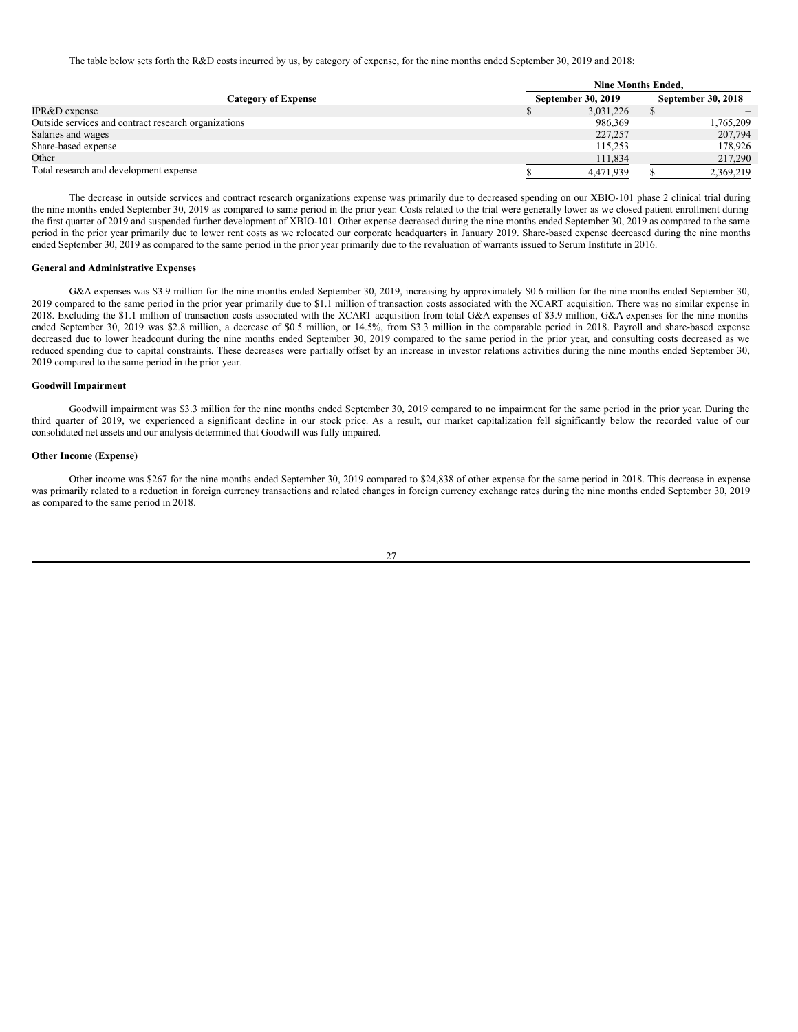The table below sets forth the R&D costs incurred by us, by category of expense, for the nine months ended September 30, 2019 and 2018:

|                                                      | <b>Nine Months Ended.</b> |                    |                    |           |  |  |
|------------------------------------------------------|---------------------------|--------------------|--------------------|-----------|--|--|
| Category of Expense                                  |                           | September 30, 2019 | September 30, 2018 |           |  |  |
| IPR&D expense                                        |                           | 3,031,226          |                    |           |  |  |
| Outside services and contract research organizations |                           | 986,369            |                    | 1,765,209 |  |  |
| Salaries and wages                                   |                           | 227,257            |                    | 207,794   |  |  |
| Share-based expense                                  |                           | 115.253            |                    | 178,926   |  |  |
| Other                                                |                           | 111.834            |                    | 217,290   |  |  |
| Total research and development expense               |                           | 4,471,939          |                    | 2,369,219 |  |  |

The decrease in outside services and contract research organizations expense was primarily due to decreased spending on our XBIO-101 phase 2 clinical trial during the nine months ended September 30, 2019 as compared to same period in the prior year. Costs related to the trial were generally lower as we closed patient enrollment during the first quarter of 2019 and suspended further development of XBIO-101. Other expense decreased during the nine months ended September 30, 2019 as compared to the same period in the prior year primarily due to lower rent costs as we relocated our corporate headquarters in January 2019. Share-based expense decreased during the nine months ended September 30, 2019 as compared to the same period in the prior year primarily due to the revaluation of warrants issued to Serum Institute in 2016.

#### **General and Administrative Expenses**

G&A expenses was \$3.9 million for the nine months ended September 30, 2019, increasing by approximately \$0.6 million for the nine months ended September 30, 2019 compared to the same period in the prior year primarily due to \$1.1 million of transaction costs associated with the XCART acquisition. There was no similar expense in 2018. Excluding the \$1.1 million of transaction costs associated with the XCART acquisition from total G&A expenses of \$3.9 million, G&A expenses for the nine months ended September 30, 2019 was \$2.8 million, a decrease of \$0.5 million, or 14.5%, from \$3.3 million in the comparable period in 2018. Payroll and share-based expense decreased due to lower headcount during the nine months ended September 30, 2019 compared to the same period in the prior year, and consulting costs decreased as we reduced spending due to capital constraints. These decreases were partially offset by an increase in investor relations activities during the nine months ended September 30, 2019 compared to the same period in the prior year.

### **Goodwill Impairment**

Goodwill impairment was \$3.3 million for the nine months ended September 30, 2019 compared to no impairment for the same period in the prior year. During the third quarter of 2019, we experienced a significant decline in our stock price. As a result, our market capitalization fell significantly below the recorded value of our consolidated net assets and our analysis determined that Goodwill was fully impaired.

#### **Other Income (Expense)**

Other income was \$267 for the nine months ended September 30, 2019 compared to \$24,838 of other expense for the same period in 2018. This decrease in expense was primarily related to a reduction in foreign currency transactions and related changes in foreign currency exchange rates during the nine months ended September 30, 2019 as compared to the same period in 2018.

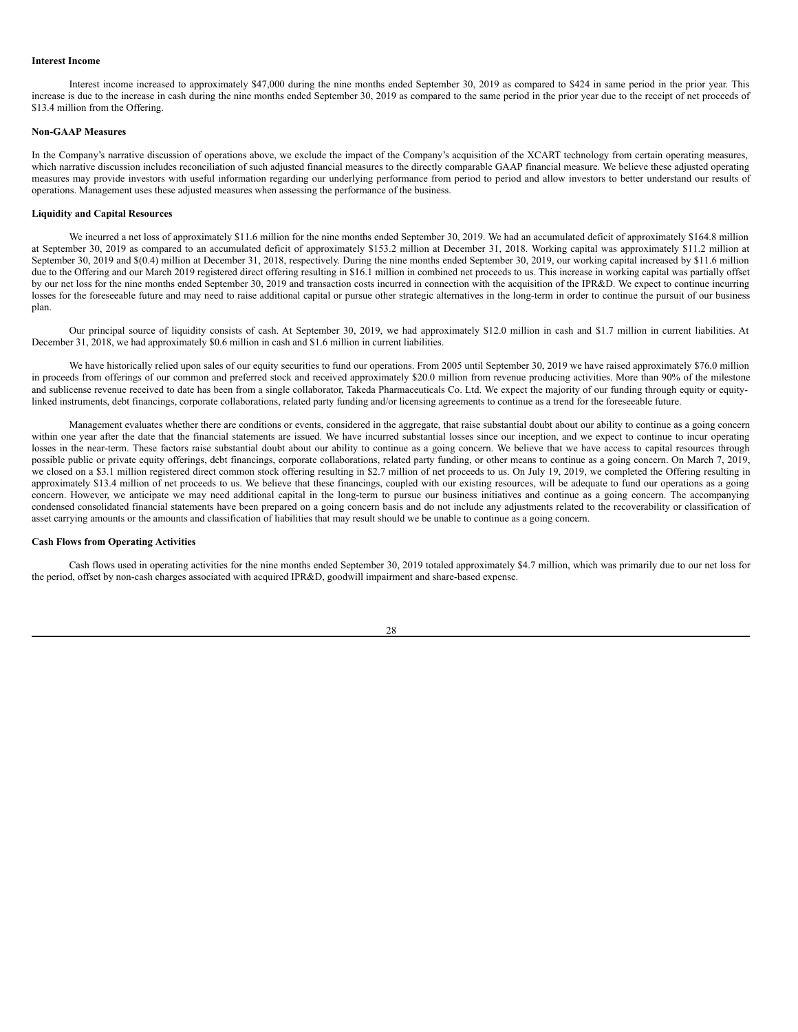#### **Interest Income**

Interest income increased to approximately \$47,000 during the nine months ended September 30, 2019 as compared to \$424 in same period in the prior year. This increase is due to the increase in cash during the nine months ended September 30, 2019 as compared to the same period in the prior year due to the receipt of net proceeds of \$13.4 million from the Offering.

# **Non-GAAP Measures**

In the Company's narrative discussion of operations above, we exclude the impact of the Company's acquisition of the XCART technology from certain operating measures, which narrative discussion includes reconciliation of such adjusted financial measures to the directly comparable GAAP financial measure. We believe these adjusted operating measures may provide investors with useful information regarding our underlying performance from period to period and allow investors to better understand our results of operations. Management uses these adjusted measures when assessing the performance of the business.

### **Liquidity and Capital Resources**

We incurred a net loss of approximately \$11.6 million for the nine months ended September 30, 2019. We had an accumulated deficit of approximately \$164.8 million at September 30, 2019 as compared to an accumulated deficit of approximately \$153.2 million at December 31, 2018. Working capital was approximately \$11.2 million at September 30, 2019 and  $\S(0.4)$  million at December 31, 2018, respectively. During the nine months ended September 30, 2019, our working capital increased by \$11.6 million due to the Offering and our March 2019 registered direct offering resulting in \$16.1 million in combined net proceeds to us. This increase in working capital was partially offset by our net loss for the nine months ended September 30, 2019 and transaction costs incurred in connection with the acquisition of the IPR&D. We expect to continue incurring losses for the foreseeable future and may need to raise additional capital or pursue other strategic alternatives in the long-term in order to continue the pursuit of our business plan.

Our principal source of liquidity consists of cash. At September 30, 2019, we had approximately \$12.0 million in cash and \$1.7 million in current liabilities. At December 31, 2018, we had approximately \$0.6 million in cash and \$1.6 million in current liabilities.

We have historically relied upon sales of our equity securities to fund our operations. From 2005 until September 30, 2019 we have raised approximately \$76.0 million in proceeds from offerings of our common and preferred stock and received approximately \$20.0 million from revenue producing activities. More than 90% of the milestone and sublicense revenue received to date has been from a single collaborator, Takeda Pharmaceuticals Co. Ltd. We expect the majority of our funding through equity or equitylinked instruments, debt financings, corporate collaborations, related party funding and/or licensing agreements to continue as a trend for the foreseeable future.

Management evaluates whether there are conditions or events, considered in the aggregate, that raise substantial doubt about our ability to continue as a going concern within one year after the date that the financial statements are issued. We have incurred substantial losses since our inception, and we expect to continue to incur operating losses in the near-term. These factors raise substantial doubt about our ability to continue as a going concern. We believe that we have access to capital resources through possible public or private equity offerings, debt financings, corporate collaborations, related party funding, or other means to continue as a going concern. On March 7, 2019, we closed on a \$3.1 million registered direct common stock offering resulting in \$2.7 million of net proceeds to us. On July 19, 2019, we completed the Offering resulting in approximately \$13.4 million of net proceeds to us. We believe that these financings, coupled with our existing resources, will be adequate to fund our operations as a going concern. However, we anticipate we may need additional capital in the long-term to pursue our business initiatives and continue as a going concern. The accompanying condensed consolidated financial statements have been prepared on a going concern basis and do not include any adjustments related to the recoverability or classification of asset carrying amounts or the amounts and classification of liabilities that may result should we be unable to continue as a going concern.

#### **Cash Flows from Operating Activities**

Cash flows used in operating activities for the nine months ended September 30, 2019 totaled approximately \$4.7 million, which was primarily due to our net loss for the period, offset by non-cash charges associated with acquired IPR&D, goodwill impairment and share-based expense.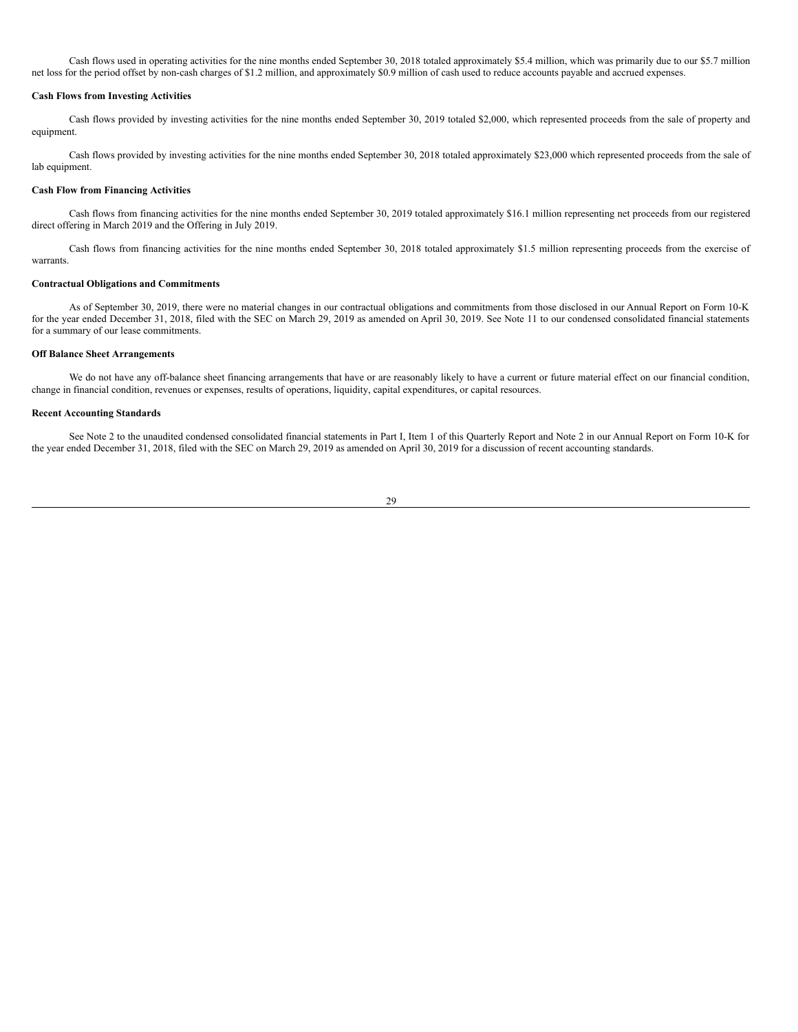Cash flows used in operating activities for the nine months ended September 30, 2018 totaled approximately \$5.4 million, which was primarily due to our \$5.7 million net loss for the period offset by non-cash charges of \$1.2 million, and approximately \$0.9 million of cash used to reduce accounts payable and accrued expenses.

### **Cash Flows from Investing Activities**

Cash flows provided by investing activities for the nine months ended September 30, 2019 totaled \$2,000, which represented proceeds from the sale of property and equipment.

Cash flows provided by investing activities for the nine months ended September 30, 2018 totaled approximately \$23,000 which represented proceeds from the sale of lab equipment.

#### **Cash Flow from Financing Activities**

Cash flows from financing activities for the nine months ended September 30, 2019 totaled approximately \$16.1 million representing net proceeds from our registered direct offering in March 2019 and the Offering in July 2019.

Cash flows from financing activities for the nine months ended September 30, 2018 totaled approximately \$1.5 million representing proceeds from the exercise of warrants.

### **Contractual Obligations and Commitments**

As of September 30, 2019, there were no material changes in our contractual obligations and commitments from those disclosed in our Annual Report on Form 10-K for the year ended December 31, 2018, filed with the SEC on March 29, 2019 as amended on April 30, 2019. See Note 11 to our condensed consolidated financial statements for a summary of our lease commitments.

#### **Off Balance Sheet Arrangements**

We do not have any off-balance sheet financing arrangements that have or are reasonably likely to have a current or future material effect on our financial condition, change in financial condition, revenues or expenses, results of operations, liquidity, capital expenditures, or capital resources.

#### **Recent Accounting Standards**

See Note 2 to the unaudited condensed consolidated financial statements in Part I, Item 1 of this Quarterly Report and Note 2 in our Annual Report on Form 10-K for the year ended December 31, 2018, filed with the SEC on March 29, 2019 as amended on April 30, 2019 for a discussion of recent accounting standards.

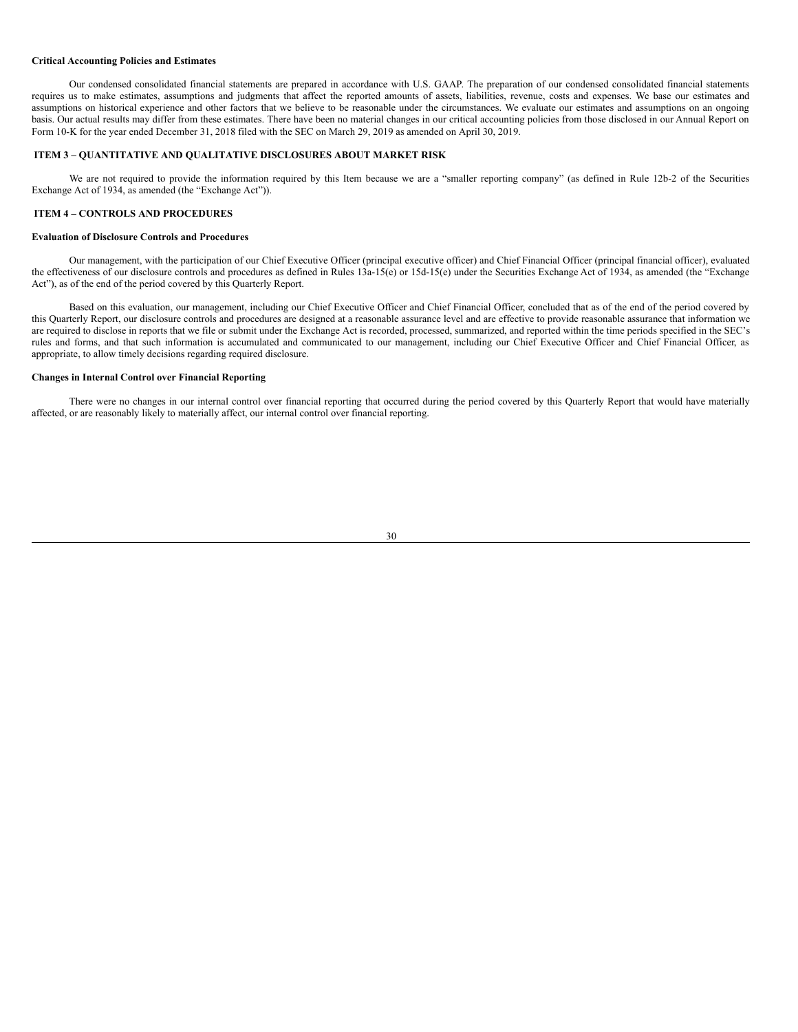#### **Critical Accounting Policies and Estimates**

Our condensed consolidated financial statements are prepared in accordance with U.S. GAAP. The preparation of our condensed consolidated financial statements requires us to make estimates, assumptions and judgments that affect the reported amounts of assets, liabilities, revenue, costs and expenses. We base our estimates and assumptions on historical experience and other factors that we believe to be reasonable under the circumstances. We evaluate our estimates and assumptions on an ongoing basis. Our actual results may differ from these estimates. There have been no material changes in our critical accounting policies from those disclosed in our Annual Report on Form 10-K for the year ended December 31, 2018 filed with the SEC on March 29, 2019 as amended on April 30, 2019.

### <span id="page-29-0"></span>**ITEM 3 – QUANTITATIVE AND QUALITATIVE DISCLOSURES ABOUT MARKET RISK**

We are not required to provide the information required by this Item because we are a "smaller reporting company" (as defined in Rule 12b-2 of the Securities Exchange Act of 1934, as amended (the "Exchange Act")).

## <span id="page-29-1"></span>**ITEM 4 – CONTROLS AND PROCEDURES**

### **Evaluation of Disclosure Controls and Procedures**

Our management, with the participation of our Chief Executive Officer (principal executive officer) and Chief Financial Officer (principal financial officer), evaluated the effectiveness of our disclosure controls and procedures as defined in Rules 13a-15(e) or 15d-15(e) under the Securities Exchange Act of 1934, as amended (the "Exchange Act"), as of the end of the period covered by this Quarterly Report.

Based on this evaluation, our management, including our Chief Executive Officer and Chief Financial Officer, concluded that as of the end of the period covered by this Quarterly Report, our disclosure controls and procedures are designed at a reasonable assurance level and are effective to provide reasonable assurance that information we are required to disclose in reports that we file or submit under the Exchange Act is recorded, processed, summarized, and reported within the time periods specified in the SEC's rules and forms, and that such information is accumulated and communicated to our management, including our Chief Executive Officer and Chief Financial Officer, as appropriate, to allow timely decisions regarding required disclosure.

### **Changes in Internal Control over Financial Reporting**

There were no changes in our internal control over financial reporting that occurred during the period covered by this Quarterly Report that would have materially affected, or are reasonably likely to materially affect, our internal control over financial reporting.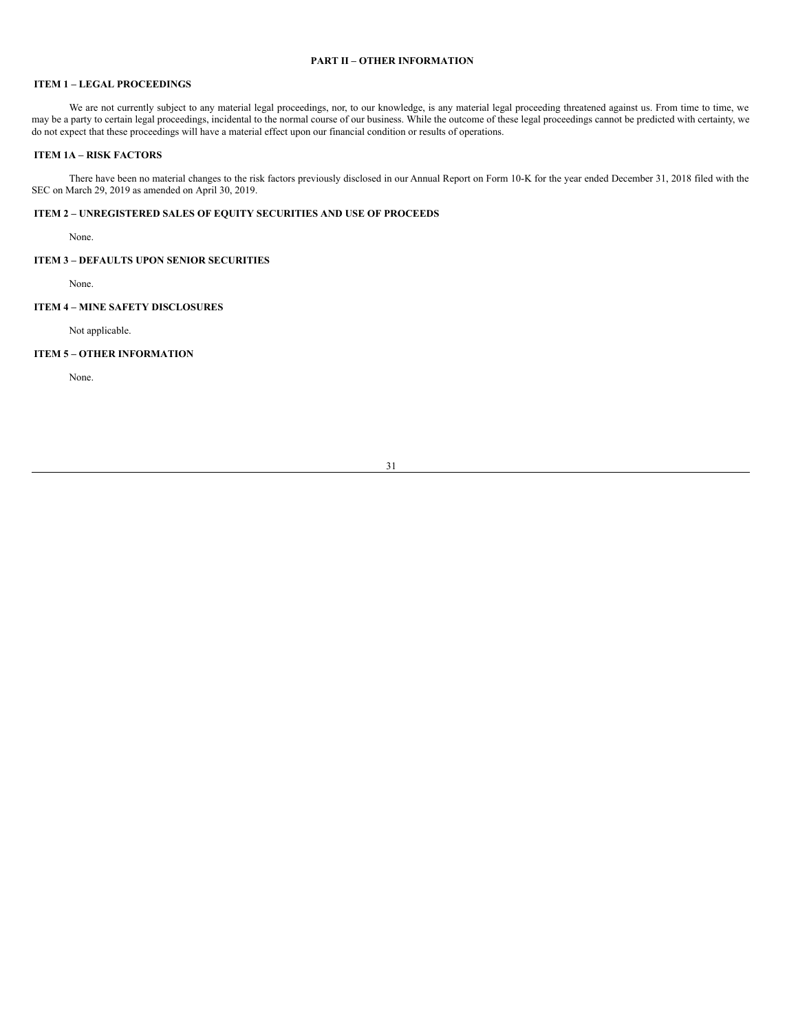# <span id="page-30-0"></span>**PART II – OTHER INFORMATION**

# <span id="page-30-1"></span>**ITEM 1 – LEGAL PROCEEDINGS**

We are not currently subject to any material legal proceedings, nor, to our knowledge, is any material legal proceeding threatened against us. From time to time, we may be a party to certain legal proceedings, incidental to the normal course of our business. While the outcome of these legal proceedings cannot be predicted with certainty, we do not expect that these proceedings will have a material effect upon our financial condition or results of operations.

### <span id="page-30-2"></span>**ITEM 1A – RISK FACTORS**

There have been no material changes to the risk factors previously disclosed in our Annual Report on Form 10-K for the year ended December 31, 2018 filed with the SEC on March 29, 2019 as amended on April 30, 2019.

# <span id="page-30-3"></span>**ITEM 2 – UNREGISTERED SALES OF EQUITY SECURITIES AND USE OF PROCEEDS**

None.

# <span id="page-30-4"></span>**ITEM 3 – DEFAULTS UPON SENIOR SECURITIES**

None.

# <span id="page-30-5"></span>**ITEM 4 – MINE SAFETY DISCLOSURES**

Not applicable.

# <span id="page-30-6"></span>**ITEM 5 – OTHER INFORMATION**

None.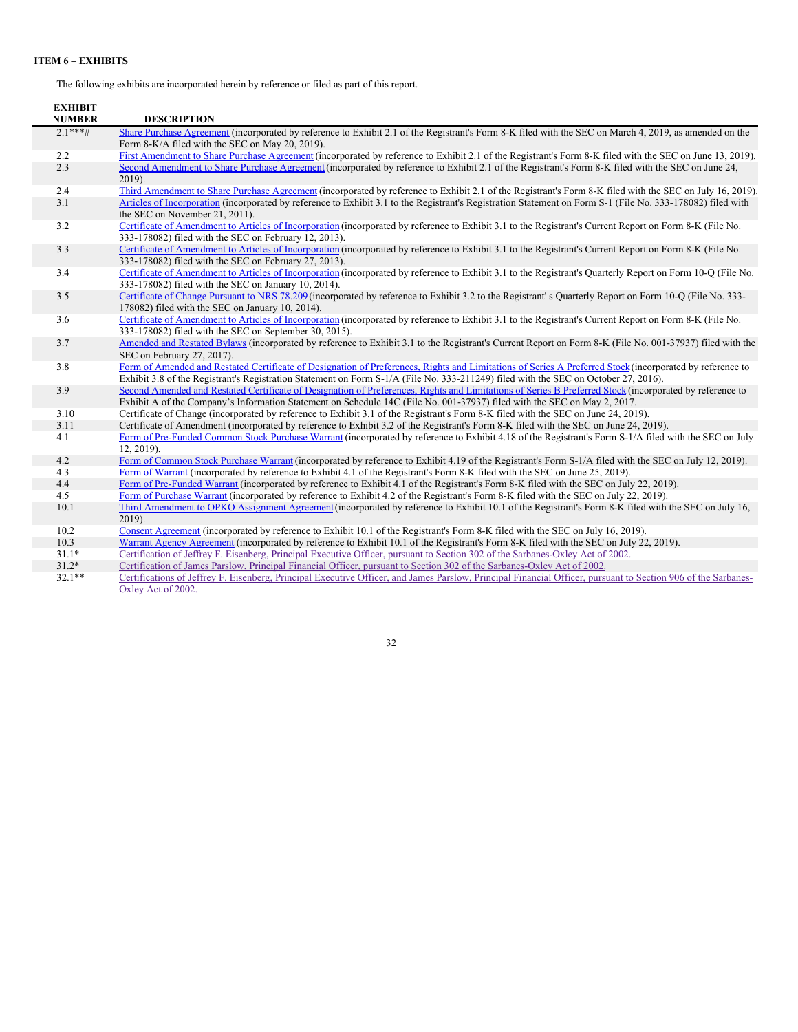# <span id="page-31-0"></span>**ITEM 6 – EXHIBITS**

The following exhibits are incorporated herein by reference or filed as part of this report.

| <b>EXHIBIT</b><br><b>NUMBER</b> | <b>DESCRIPTION</b>                                                                                                                                                                                                                                                                              |
|---------------------------------|-------------------------------------------------------------------------------------------------------------------------------------------------------------------------------------------------------------------------------------------------------------------------------------------------|
| $2.1***$ #                      | Share Purchase Agreement (incorporated by reference to Exhibit 2.1 of the Registrant's Form 8-K filed with the SEC on March 4, 2019, as amended on the<br>Form 8-K/A filed with the SEC on May 20, 2019).                                                                                       |
| 2.2                             | First Amendment to Share Purchase Agreement (incorporated by reference to Exhibit 2.1 of the Registrant's Form 8-K filed with the SEC on June 13, 2019).                                                                                                                                        |
| 2.3                             | Second Amendment to Share Purchase Agreement (incorporated by reference to Exhibit 2.1 of the Registrant's Form 8-K filed with the SEC on June 24,<br>2019).                                                                                                                                    |
| 2.4                             | Third Amendment to Share Purchase Agreement (incorporated by reference to Exhibit 2.1 of the Registrant's Form 8-K filed with the SEC on July 16, 2019).                                                                                                                                        |
| 3.1                             | Articles of Incorporation (incorporated by reference to Exhibit 3.1 to the Registrant's Registration Statement on Form S-1 (File No. 333-178082) filed with<br>the SEC on November 21, 2011).                                                                                                   |
| 3.2                             | Certificate of Amendment to Articles of Incorporation (incorporated by reference to Exhibit 3.1 to the Registrant's Current Report on Form 8-K (File No.<br>333-178082) filed with the SEC on February 12, 2013).                                                                               |
| 3.3                             | Certificate of Amendment to Articles of Incorporation (incorporated by reference to Exhibit 3.1 to the Registrant's Current Report on Form 8-K (File No.<br>333-178082) filed with the SEC on February 27, 2013).                                                                               |
| 3.4                             | Certificate of Amendment to Articles of Incorporation (incorporated by reference to Exhibit 3.1 to the Registrant's Quarterly Report on Form 10-Q (File No.<br>333-178082) filed with the SEC on January 10, 2014).                                                                             |
| 3.5                             | Certificate of Change Pursuant to NRS 78.209 (incorporated by reference to Exhibit 3.2 to the Registrant's Quarterly Report on Form 10-Q (File No. 333-<br>178082) filed with the SEC on January 10, 2014).                                                                                     |
| 3.6                             | Certificate of Amendment to Articles of Incorporation (incorporated by reference to Exhibit 3.1 to the Registrant's Current Report on Form 8-K (File No.<br>333-178082) filed with the SEC on September 30, 2015).                                                                              |
| 3.7                             | Amended and Restated Bylaws (incorporated by reference to Exhibit 3.1 to the Registrant's Current Report on Form 8-K (File No. 001-37937) filed with the<br>SEC on February 27, 2017).                                                                                                          |
| 3.8                             | Form of Amended and Restated Certificate of Designation of Preferences, Rights and Limitations of Series A Preferred Stock (incorporated by reference to<br>Exhibit 3.8 of the Registrant's Registration Statement on Form S-1/A (File No. 333-211249) filed with the SEC on October 27, 2016). |
| 3.9                             | Second Amended and Restated Certificate of Designation of Preferences, Rights and Limitations of Series B Preferred Stock (incorporated by reference to<br>Exhibit A of the Company's Information Statement on Schedule 14C (File No. 001-37937) filed with the SEC on May 2, 2017.             |
| 3.10                            | Certificate of Change (incorporated by reference to Exhibit 3.1 of the Registrant's Form 8-K filed with the SEC on June 24, 2019).                                                                                                                                                              |
| 3.11                            | Certificate of Amendment (incorporated by reference to Exhibit 3.2 of the Registrant's Form 8-K filed with the SEC on June 24, 2019).                                                                                                                                                           |
| 4.1                             | Form of Pre-Funded Common Stock Purchase Warrant (incorporated by reference to Exhibit 4.18 of the Registrant's Form S-1/A filed with the SEC on July<br>12, 2019).                                                                                                                             |
| 4.2                             | Form of Common Stock Purchase Warrant (incorporated by reference to Exhibit 4.19 of the Registrant's Form S-1/A filed with the SEC on July 12, 2019).                                                                                                                                           |
| 4.3                             | Form of Warrant (incorporated by reference to Exhibit 4.1 of the Registrant's Form 8-K filed with the SEC on June 25, 2019).                                                                                                                                                                    |
| 4.4                             | Form of Pre-Funded Warrant (incorporated by reference to Exhibit 4.1 of the Registrant's Form 8-K filed with the SEC on July 22, 2019).                                                                                                                                                         |
| 4.5                             | Form of Purchase Warrant (incorporated by reference to Exhibit 4.2 of the Registrant's Form 8-K filed with the SEC on July 22, 2019).                                                                                                                                                           |
| 10.1                            | Third Amendment to OPKO Assignment Agreement (incorporated by reference to Exhibit 10.1 of the Registrant's Form 8-K filed with the SEC on July 16,<br>2019).                                                                                                                                   |
| 10.2                            | Consent Agreement (incorporated by reference to Exhibit 10.1 of the Registrant's Form 8-K filed with the SEC on July 16, 2019).                                                                                                                                                                 |
| 10.3                            | Warrant Agency Agreement (incorporated by reference to Exhibit 10.1 of the Registrant's Form 8-K filed with the SEC on July 22, 2019).                                                                                                                                                          |
| $31.1*$                         | Certification of Jeffrey F. Eisenberg, Principal Executive Officer, pursuant to Section 302 of the Sarbanes-Oxley Act of 2002.                                                                                                                                                                  |
| $31.2*$                         | Certification of James Parslow, Principal Financial Officer, pursuant to Section 302 of the Sarbanes-Oxley Act of 2002.                                                                                                                                                                         |
| $32.1**$                        | Certifications of Jeffrey F. Eisenberg, Principal Executive Officer, and James Parslow, Principal Financial Officer, pursuant to Section 906 of the Sarbanes-<br>Oxley Act of 2002.                                                                                                             |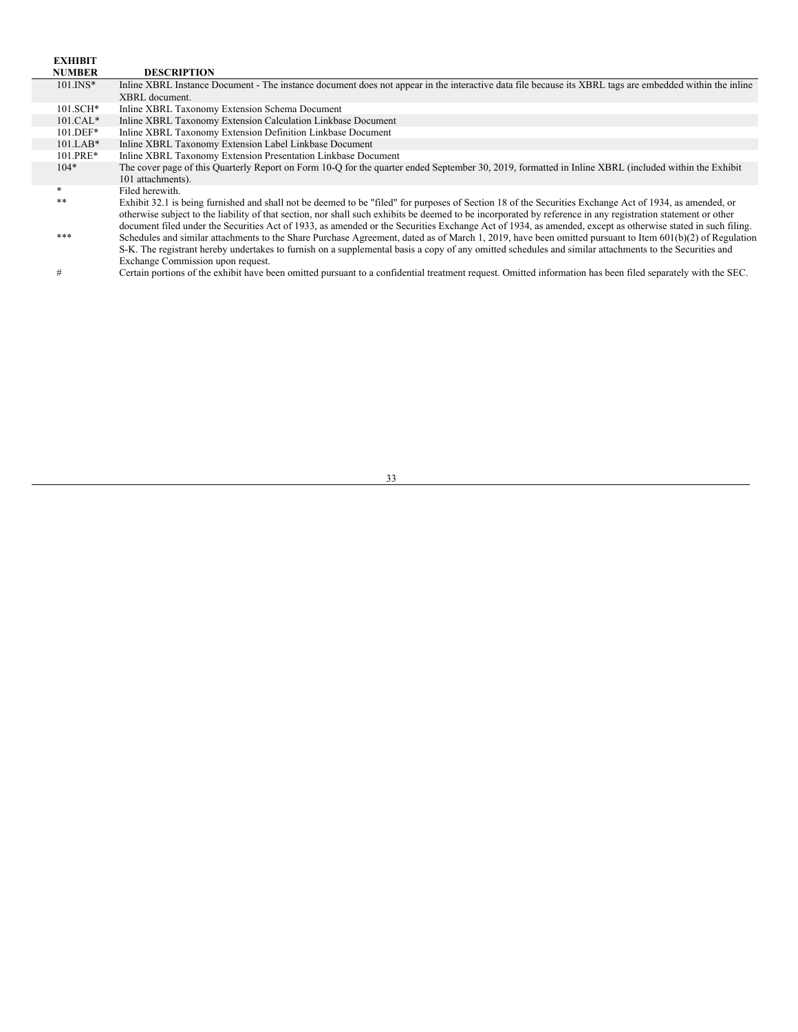| <b>EXHIBIT</b> |                                                                                                                                                              |
|----------------|--------------------------------------------------------------------------------------------------------------------------------------------------------------|
| <b>NUMBER</b>  | <b>DESCRIPTION</b>                                                                                                                                           |
| $101$ . INS*   | Inline XBRL Instance Document - The instance document does not appear in the interactive data file because its XBRL tags are embedded within the inline      |
|                | XBRL document.                                                                                                                                               |
| $101.SCH*$     | Inline XBRL Taxonomy Extension Schema Document                                                                                                               |
| $101.CAL*$     | Inline XBRL Taxonomy Extension Calculation Linkbase Document                                                                                                 |
| $101.DEF*$     | Inline XBRL Taxonomy Extension Definition Linkbase Document                                                                                                  |
| $101.LAB*$     | Inline XBRL Taxonomy Extension Label Linkbase Document                                                                                                       |
| $101.PRE*$     | Inline XBRL Taxonomy Extension Presentation Linkbase Document                                                                                                |
| $104*$         | The cover page of this Quarterly Report on Form 10-Q for the quarter ended September 30, 2019, formatted in Inline XBRL (included within the Exhibit         |
|                | 101 attachments).                                                                                                                                            |
| *              | Filed herewith.                                                                                                                                              |
| **             | Exhibit 32.1 is being furnished and shall not be deemed to be "filed" for purposes of Section 18 of the Securities Exchange Act of 1934, as amended, or      |
|                | otherwise subject to the liability of that section, nor shall such exhibits be deemed to be incorporated by reference in any registration statement or other |
|                | document filed under the Securities Act of 1933, as amended or the Securities Exchange Act of 1934, as amended, except as otherwise stated in such filing.   |
| ***            | Schedules and similar attachments to the Share Purchase Agreement, dated as of March 1, 2019, have been omitted pursuant to Item $601(b)(2)$ of Regulation   |
|                | S-K. The registrant hereby undertakes to furnish on a supplemental basis a copy of any omitted schedules and similar attachments to the Securities and       |
|                | Exchange Commission upon request.                                                                                                                            |
|                | وصوصوص والمتعاون والمتحاول والمتحاول والمتحافظ والمتحافظ والمستحدث والمتحافي والمستحدث                                                                       |

# Certain portions of the exhibit have been omitted pursuant to a confidential treatment request. Omitted information has been filed separately with the SEC.

33

<u> 1980 - Johann Barbara, martxa amerikan personal (h. 1980).</u>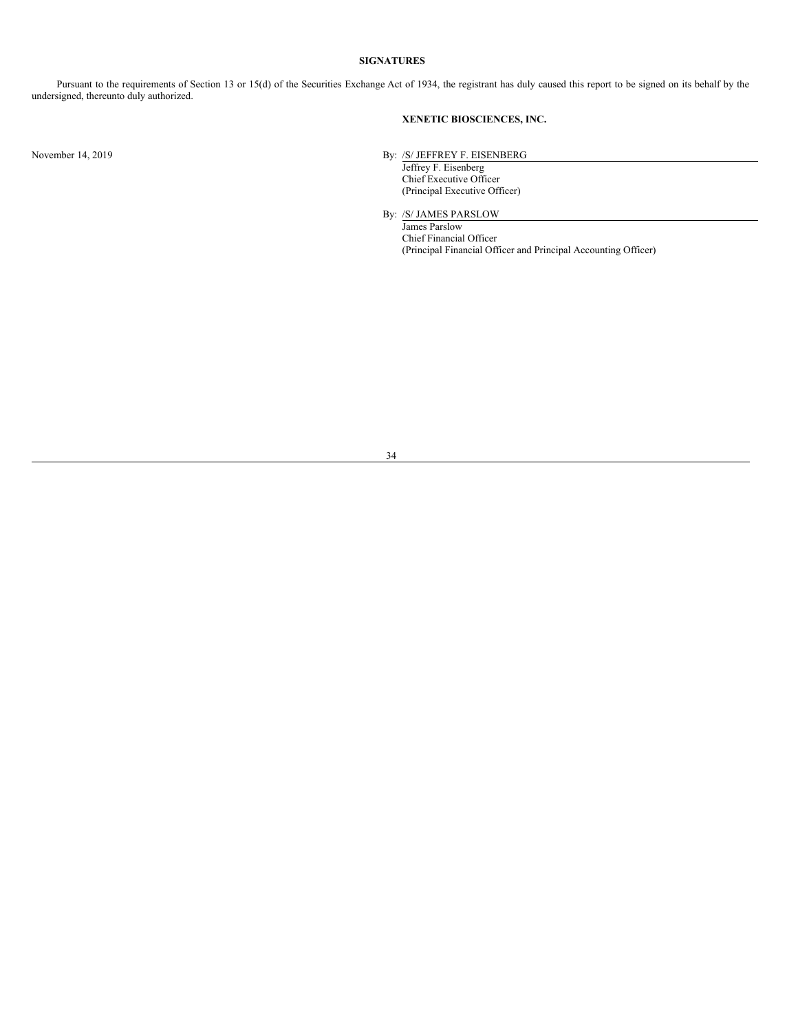### <span id="page-33-0"></span>**SIGNATURES**

Pursuant to the requirements of Section 13 or 15(d) of the Securities Exchange Act of 1934, the registrant has duly caused this report to be signed on its behalf by the undersigned, thereunto duly authorized.

# **XENETIC BIOSCIENCES, INC.**

November 14, 2019 By: /S/ JEFFREY F. EISENBERG

Jeffrey F. Eisenberg Chief Executive Officer (Principal Executive Officer)

By: /S/ JAMES PARSLOW

James Parslow Chief Financial Officer (Principal Financial Officer and Principal Accounting Officer)

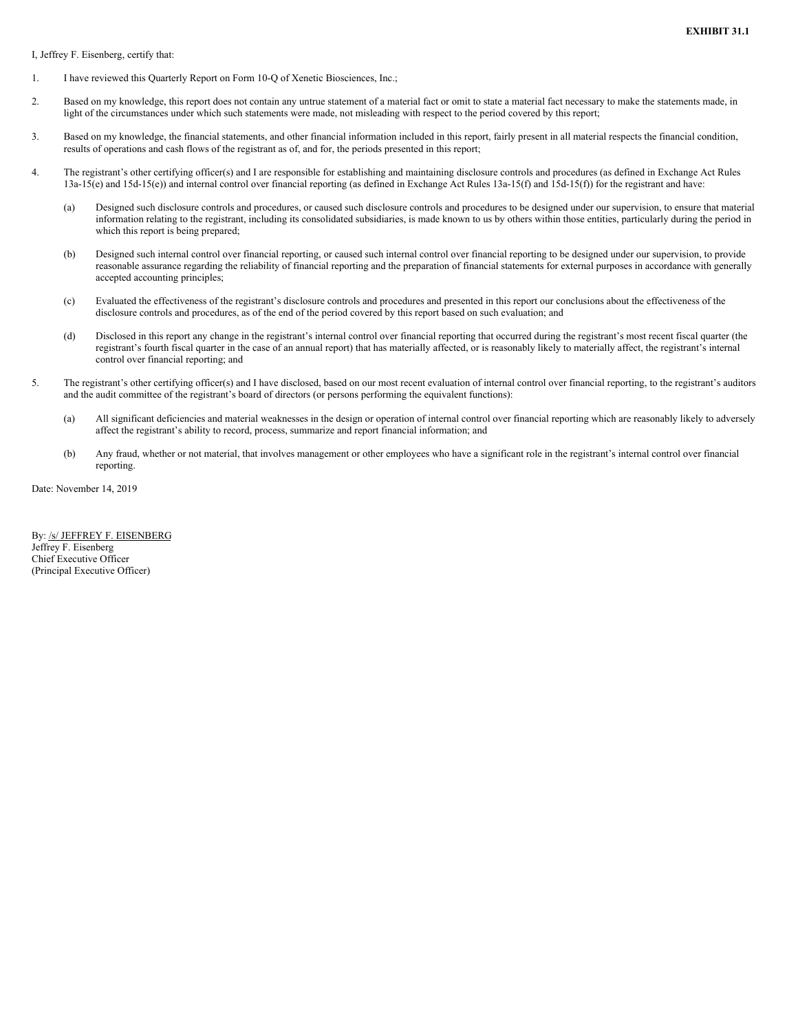<span id="page-34-0"></span>I, Jeffrey F. Eisenberg, certify that:

- 1. I have reviewed this Quarterly Report on Form 10-Q of Xenetic Biosciences, Inc.;
- 2. Based on my knowledge, this report does not contain any untrue statement of a material fact or omit to state a material fact necessary to make the statements made, in light of the circumstances under which such statements were made, not misleading with respect to the period covered by this report;
- 3. Based on my knowledge, the financial statements, and other financial information included in this report, fairly present in all material respects the financial condition, results of operations and cash flows of the registrant as of, and for, the periods presented in this report;
- 4. The registrant's other certifying officer(s) and I are responsible for establishing and maintaining disclosure controls and procedures (as defined in Exchange Act Rules 13a-15(e) and 15d-15(e)) and internal control over financial reporting (as defined in Exchange Act Rules 13a-15(f) and 15d-15(f)) for the registrant and have:
	- (a) Designed such disclosure controls and procedures, or caused such disclosure controls and procedures to be designed under our supervision, to ensure that material information relating to the registrant, including its consolidated subsidiaries, is made known to us by others within those entities, particularly during the period in which this report is being prepared;
	- (b) Designed such internal control over financial reporting, or caused such internal control over financial reporting to be designed under our supervision, to provide reasonable assurance regarding the reliability of financial reporting and the preparation of financial statements for external purposes in accordance with generally accepted accounting principles;
	- (c) Evaluated the effectiveness of the registrant's disclosure controls and procedures and presented in this report our conclusions about the effectiveness of the disclosure controls and procedures, as of the end of the period covered by this report based on such evaluation; and
	- (d) Disclosed in this report any change in the registrant's internal control over financial reporting that occurred during the registrant's most recent fiscal quarter (the registrant's fourth fiscal quarter in the case of an annual report) that has materially affected, or is reasonably likely to materially affect, the registrant's internal control over financial reporting; and
- 5. The registrant's other certifying officer(s) and I have disclosed, based on our most recent evaluation of internal control over financial reporting, to the registrant's auditors and the audit committee of the registrant's board of directors (or persons performing the equivalent functions):
	- (a) All significant deficiencies and material weaknesses in the design or operation of internal control over financial reporting which are reasonably likely to adversely affect the registrant's ability to record, process, summarize and report financial information; and
	- (b) Any fraud, whether or not material, that involves management or other employees who have a significant role in the registrant's internal control over financial reporting.

Date: November 14, 2019

By: /s/ JEFFREY F. EISENBERG Jeffrey F. Eisenberg Chief Executive Officer (Principal Executive Officer)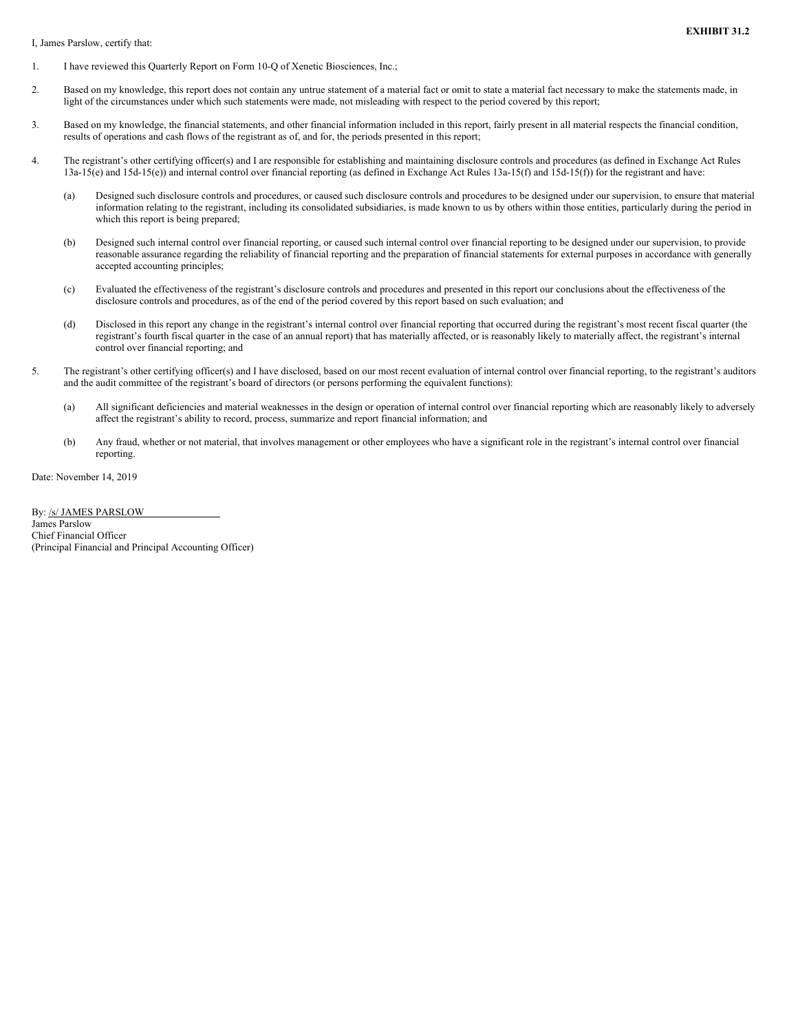<span id="page-35-0"></span>I, James Parslow, certify that:

- 1. I have reviewed this Quarterly Report on Form 10-Q of Xenetic Biosciences, Inc.;
- 2. Based on my knowledge, this report does not contain any untrue statement of a material fact or omit to state a material fact necessary to make the statements made, in light of the circumstances under which such statements were made, not misleading with respect to the period covered by this report;
- 3. Based on my knowledge, the financial statements, and other financial information included in this report, fairly present in all material respects the financial condition, results of operations and cash flows of the registrant as of, and for, the periods presented in this report;
- 4. The registrant's other certifying officer(s) and I are responsible for establishing and maintaining disclosure controls and procedures (as defined in Exchange Act Rules 13a-15(e) and 15d-15(e)) and internal control over financial reporting (as defined in Exchange Act Rules 13a-15(f) and 15d-15(f)) for the registrant and have:
	- (a) Designed such disclosure controls and procedures, or caused such disclosure controls and procedures to be designed under our supervision, to ensure that material information relating to the registrant, including its consolidated subsidiaries, is made known to us by others within those entities, particularly during the period in which this report is being prepared;
	- (b) Designed such internal control over financial reporting, or caused such internal control over financial reporting to be designed under our supervision, to provide reasonable assurance regarding the reliability of financial reporting and the preparation of financial statements for external purposes in accordance with generally accepted accounting principles;
	- (c) Evaluated the effectiveness of the registrant's disclosure controls and procedures and presented in this report our conclusions about the effectiveness of the disclosure controls and procedures, as of the end of the period covered by this report based on such evaluation; and
	- (d) Disclosed in this report any change in the registrant's internal control over financial reporting that occurred during the registrant's most recent fiscal quarter (the registrant's fourth fiscal quarter in the case of an annual report) that has materially affected, or is reasonably likely to materially affect, the registrant's internal control over financial reporting; and
- 5. The registrant's other certifying officer(s) and I have disclosed, based on our most recent evaluation of internal control over financial reporting, to the registrant's auditors and the audit committee of the registrant's board of directors (or persons performing the equivalent functions):
	- (a) All significant deficiencies and material weaknesses in the design or operation of internal control over financial reporting which are reasonably likely to adversely affect the registrant's ability to record, process, summarize and report financial information; and
	- (b) Any fraud, whether or not material, that involves management or other employees who have a significant role in the registrant's internal control over financial reporting.

Date: November 14, 2019

By: /s/ JAMES PARSLOW James Parslow Chief Financial Officer (Principal Financial and Principal Accounting Officer)